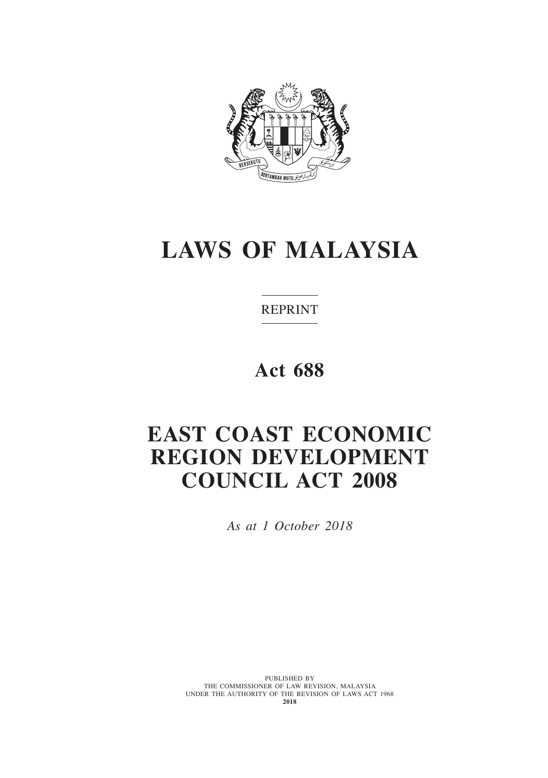

# **LAWS OF MALAYSIA**

REPRINT

**Act 688**

# **EAST COAST ECONOMIC REGION DEVELOPMENT COUNCIL ACT 2008**

*As at 1 October 2018*

PUBLISHED BY<br>THE COMMISSIONER OF LAW REVISION, MALAYSIA UNDER THE AUTHORITY OF THE REVISION OF LAWS ACT 1968 **2018**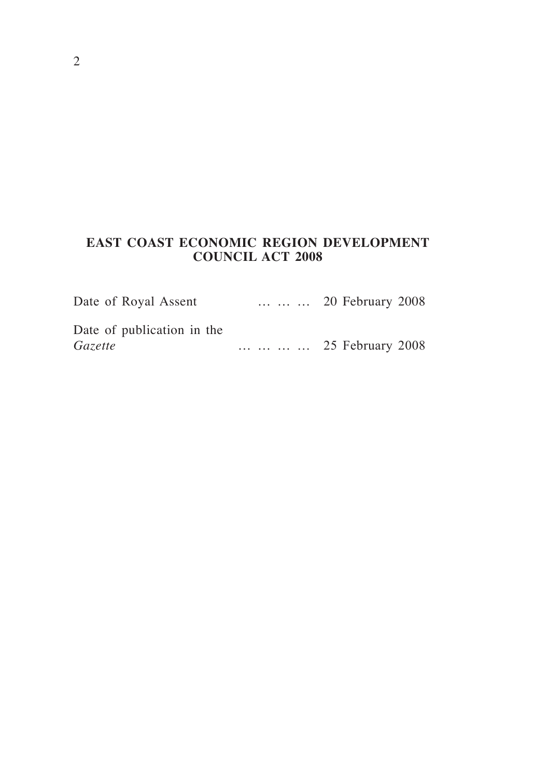# **EAST COAST ECONOMIC REGION DEVELOPMENT COUNCIL ACT 2008**

| Date of Royal Assent       | 20 February 2008 |
|----------------------------|------------------|
| Date of publication in the |                  |
| Gazette                    | 25 February 2008 |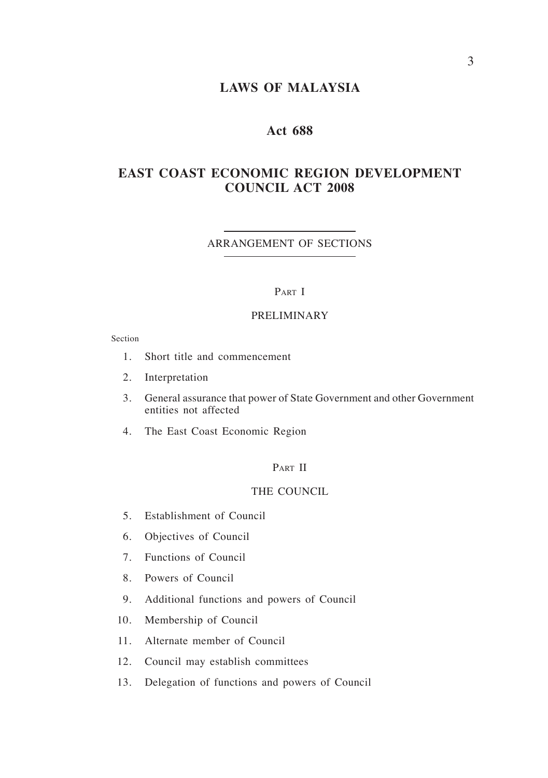# **LAWS OF MALAYSIA**

# **Act 688**

# **EAST COAST ECONOMIC REGION DEVELOPMENT COUNCIL ACT 2008**

#### ARRANGEMENT OF SECTIONS

#### PART I

## PRELIMINARY

Section

- 1. Short title and commencement
- 2. Interpretation
- 3. General assurance that power of State Government and other Government entities not affected
- 4. The East Coast Economic Region

## PART II

#### THE COUNCIL

- 5. Establishment of Council
- 6. Objectives of Council
- 7. Functions of Council
- 8. Powers of Council
- 9. Additional functions and powers of Council
- 10. Membership of Council
- 11. Alternate member of Council
- 12. Council may establish committees
- 13. Delegation of functions and powers of Council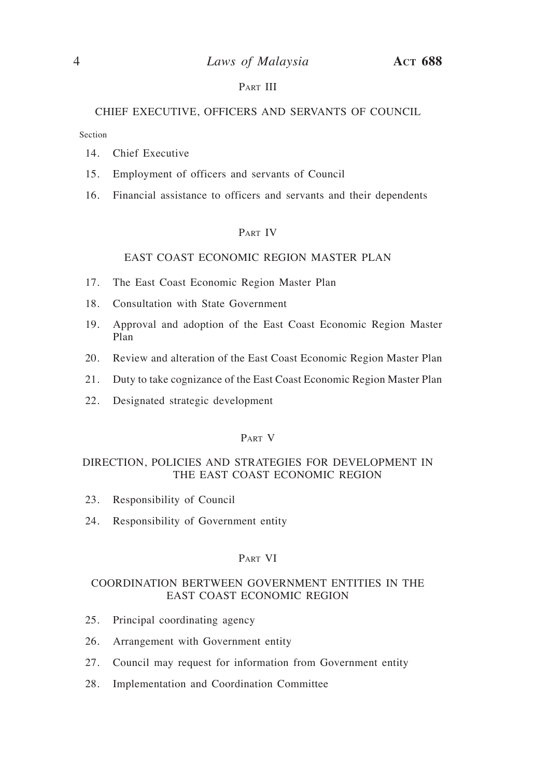## PART III

## CHIEF EXECUTIVE, OFFICERS AND SERVANTS OF COUNCIL

Section

- 14. Chief Executive
- 15. Employment of officers and servants of Council
- 16. Financial assistance to officers and servants and their dependents

#### Part IV

#### EAST COAST ECONOMIC REGION MASTER PLAN

- 17. The East Coast Economic Region Master Plan
- 18. Consultation with State Government
- 19. Approval and adoption of the East Coast Economic Region Master Plan
- 20. Review and alteration of the East Coast Economic Region Master Plan
- 21. Duty to take cognizance of the East Coast Economic Region Master Plan
- 22. Designated strategic development

#### Part V

#### DIRECTION, POLICIES AND STRATEGIES FOR DEVELOPMENT IN THE EAST COAST ECONOMIC REGION

- 23. Responsibility of Council
- 24. Responsibility of Government entity

#### Part VI

#### COORDINATION BERTWEEN GOVERNMENT ENTITIES IN THE EAST COAST ECONOMIC REGION

- 25. Principal coordinating agency
- 26. Arrangement with Government entity
- 27. Council may request for information from Government entity
- 28. Implementation and Coordination Committee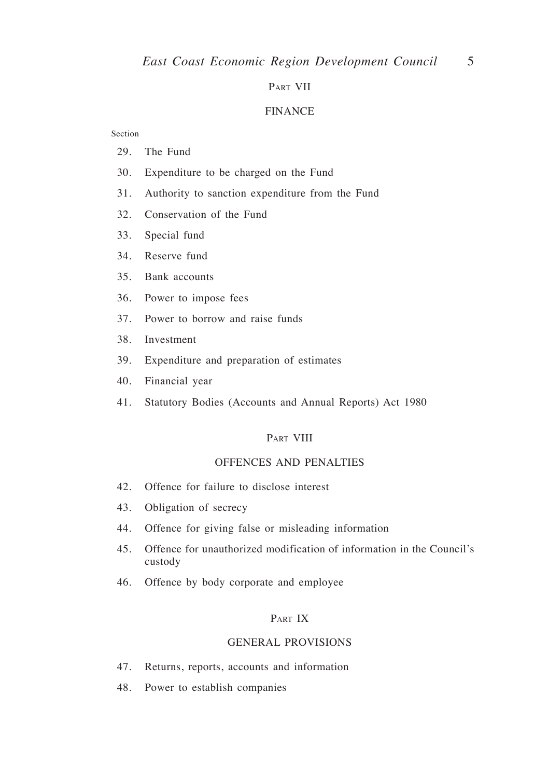#### Part VII

#### FINANCE

#### Section

- 29. The Fund
- 30. Expenditure to be charged on the Fund
- 31. Authority to sanction expenditure from the Fund
- 32. Conservation of the Fund
- 33. Special fund
- 34. Reserve fund
- 35. Bank accounts
- 36. Power to impose fees
- 37. Power to borrow and raise funds
- 38. Investment
- 39. Expenditure and preparation of estimates
- 40. Financial year
- 41. Statutory Bodies (Accounts and Annual Reports) Act 1980

#### PART VIII

#### OFFENCES AND PENALTIES

- 42. Offence for failure to disclose interest
- 43. Obligation of secrecy
- 44. Offence for giving false or misleading information
- 45. Offence for unauthorized modification of information in the Council's custody
- 46. Offence by body corporate and employee

#### Part IX

#### GENERAL PROVISIONS

- 47. Returns, reports, accounts and information
- 48. Power to establish companies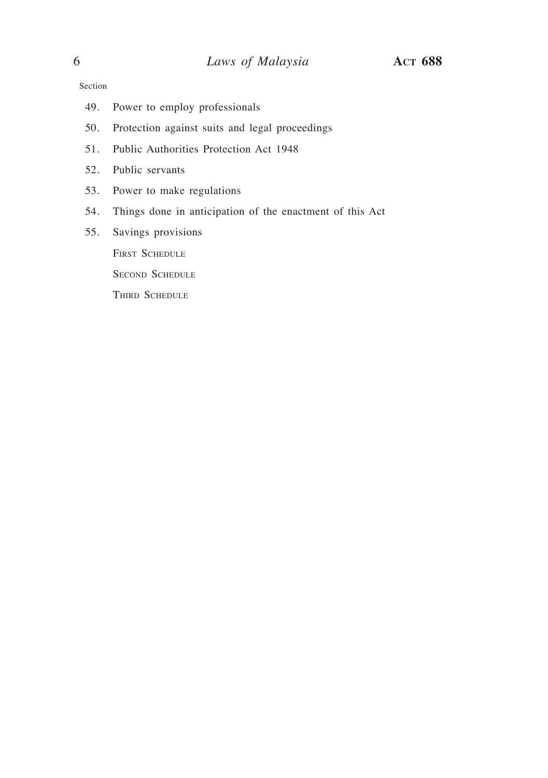Section

- 49. Power to employ professionals
- 50. Protection against suits and legal proceedings
- 51. Public Authorities Protection Act 1948
- 52. Public servants
- 53. Power to make regulations
- 54. Things done in anticipation of the enactment of this Act
- 55. Savings provisions

FIRST SCHEDULE

SECOND SCHEDULE

THIRD SCHEDULE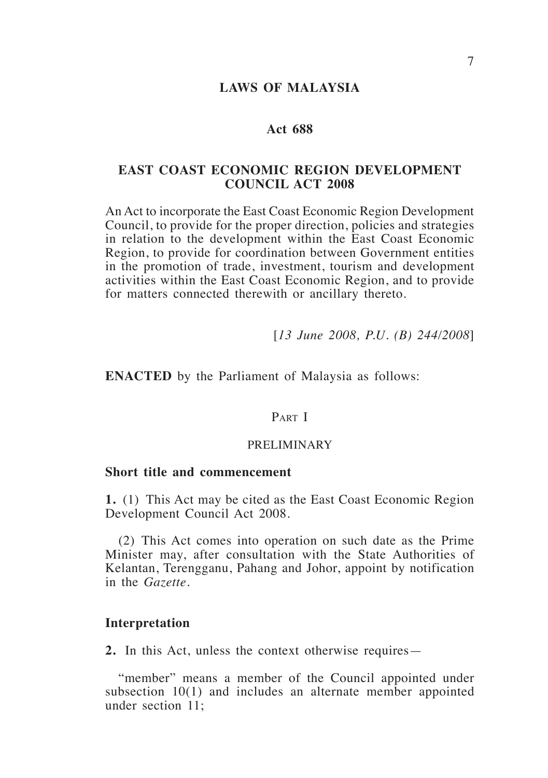## **LAWS OF MALAYSIA**

## **Act 688**

# **EAST COAST ECONOMIC REGION DEVELOPMENT COUNCIL ACT 2008**

An Act to incorporate the East Coast Economic Region Development Council, to provide for the proper direction, policies and strategies in relation to the development within the East Coast Economic Region, to provide for coordination between Government entities in the promotion of trade, investment, tourism and development activities within the East Coast Economic Region, and to provide for matters connected therewith or ancillary thereto.

[*13 June 2008, P.U. (B) 244/2008*]

**ENACTED** by the Parliament of Malaysia as follows:

# PART I

#### PRELIMINARY

#### **Short title and commencement**

**1.** (1) This Act may be cited as the East Coast Economic Region Development Council Act 2008.

(2) This Act comes into operation on such date as the Prime Minister may, after consultation with the State Authorities of Kelantan, Terengganu, Pahang and Johor, appoint by notification in the *Gazette.*

#### **Interpretation**

**2.** In this Act, unless the context otherwise requires—

"member" means a member of the Council appointed under subsection 10(1) and includes an alternate member appointed under section 11;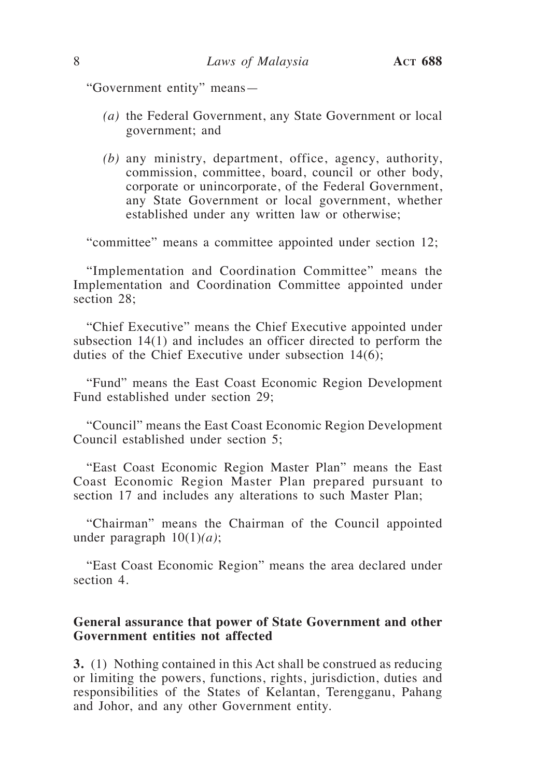"Government entity" means—

- *(a)* the Federal Government, any State Government or local government; and
- *(b)* any ministry, department, office, agency, authority, commission, committee, board, council or other body, corporate or unincorporate, of the Federal Government, any State Government or local government, whether established under any written law or otherwise;

"committee" means a committee appointed under section 12;

"Implementation and Coordination Committee" means the Implementation and Coordination Committee appointed under section 28:

"Chief Executive" means the Chief Executive appointed under subsection 14(1) and includes an officer directed to perform the duties of the Chief Executive under subsection 14(6);

"Fund" means the East Coast Economic Region Development Fund established under section 29;

"Council" means the East Coast Economic Region Development Council established under section 5;

"East Coast Economic Region Master Plan" means the East Coast Economic Region Master Plan prepared pursuant to section 17 and includes any alterations to such Master Plan;

"Chairman" means the Chairman of the Council appointed under paragraph 10(1)*(a)*;

"East Coast Economic Region" means the area declared under section 4.

# **General assurance that power of State Government and other Government entities not affected**

**3.** (1) Nothing contained in this Act shall be construed as reducing or limiting the powers, functions, rights, jurisdiction, duties and responsibilities of the States of Kelantan, Terengganu, Pahang and Johor, and any other Government entity.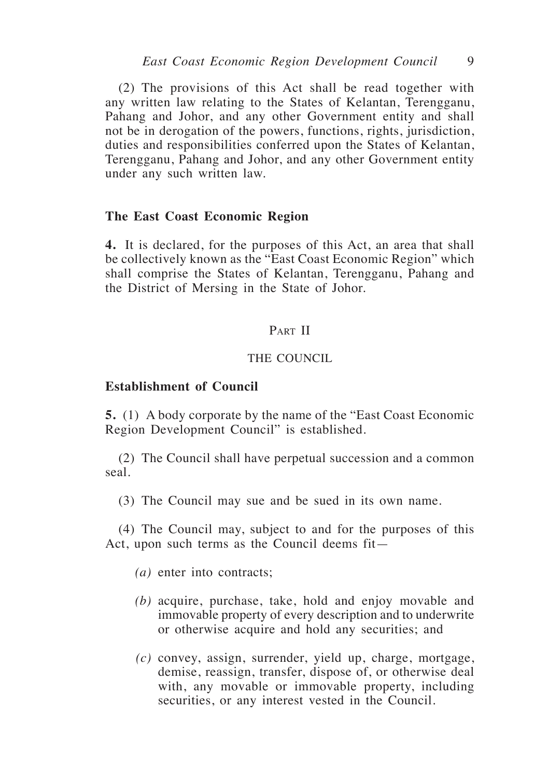(2) The provisions of this Act shall be read together with any written law relating to the States of Kelantan, Terengganu, Pahang and Johor, and any other Government entity and shall not be in derogation of the powers, functions, rights, jurisdiction, duties and responsibilities conferred upon the States of Kelantan, Terengganu, Pahang and Johor, and any other Government entity under any such written law.

#### **The East Coast Economic Region**

**4.** It is declared, for the purposes of this Act, an area that shall be collectively known as the "East Coast Economic Region" which shall comprise the States of Kelantan, Terengganu, Pahang and the District of Mersing in the State of Johor.

# PART II

## THE COUNCIL

## **Establishment of Council**

**5.** (1) A body corporate by the name of the "East Coast Economic Region Development Council" is established.

(2) The Council shall have perpetual succession and a common seal.

(3) The Council may sue and be sued in its own name.

(4) The Council may, subject to and for the purposes of this Act, upon such terms as the Council deems fit—

- *(a)* enter into contracts;
- *(b)* acquire, purchase, take, hold and enjoy movable and immovable property of every description and to underwrite or otherwise acquire and hold any securities; and
- *(c)* convey, assign, surrender, yield up, charge, mortgage, demise, reassign, transfer, dispose of, or otherwise deal with, any movable or immovable property, including securities, or any interest vested in the Council.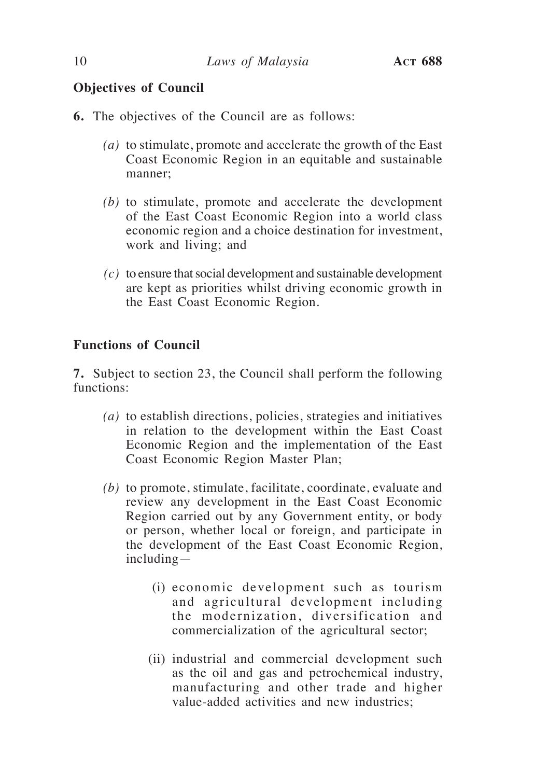# **Objectives of Council**

- **6.** The objectives of the Council are as follows:
	- *(a)* to stimulate, promote and accelerate the growth of the East Coast Economic Region in an equitable and sustainable manner;
	- *(b)* to stimulate, promote and accelerate the development of the East Coast Economic Region into a world class economic region and a choice destination for investment, work and living; and
	- *(c)* to ensure that social development and sustainable development are kept as priorities whilst driving economic growth in the East Coast Economic Region.

# **Functions of Council**

**7.** Subject to section 23, the Council shall perform the following functions:

- *(a)* to establish directions, policies, strategies and initiatives in relation to the development within the East Coast Economic Region and the implementation of the East Coast Economic Region Master Plan;
- *(b)* to promote, stimulate, facilitate, coordinate, evaluate and review any development in the East Coast Economic Region carried out by any Government entity, or body or person, whether local or foreign, and participate in the development of the East Coast Economic Region, including—
	- (i) economic development such as tourism and agricultural development including the modernization, diversification and commercialization of the agricultural sector;
	- (ii) industrial and commercial development such as the oil and gas and petrochemical industry, manufacturing and other trade and higher value-added activities and new industries;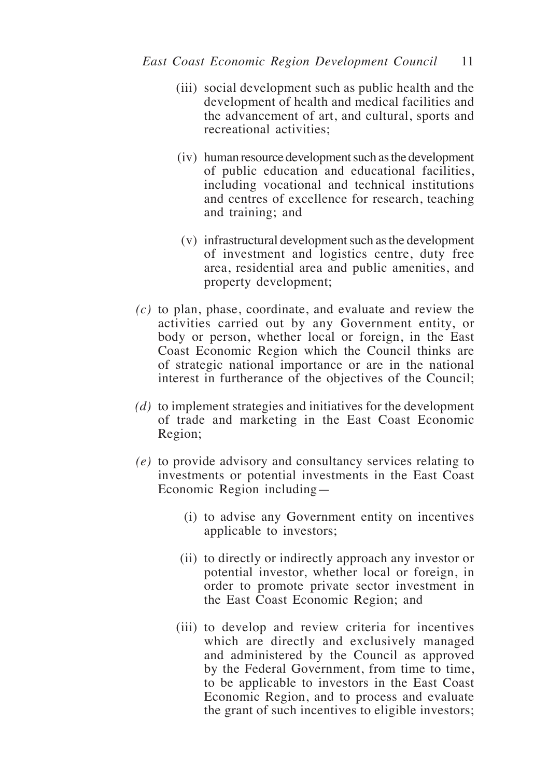- (iii) social development such as public health and the development of health and medical facilities and the advancement of art, and cultural, sports and recreational activities;
- (iv) human resource development such as the development of public education and educational facilities, including vocational and technical institutions and centres of excellence for research, teaching and training; and
- (v) infrastructural development such as the development of investment and logistics centre, duty free area, residential area and public amenities, and property development;
- *(c)* to plan, phase, coordinate, and evaluate and review the activities carried out by any Government entity, or body or person, whether local or foreign, in the East Coast Economic Region which the Council thinks are of strategic national importance or are in the national interest in furtherance of the objectives of the Council;
- *(d)* to implement strategies and initiatives for the development of trade and marketing in the East Coast Economic Region;
- *(e)* to provide advisory and consultancy services relating to investments or potential investments in the East Coast Economic Region including—
	- (i) to advise any Government entity on incentives applicable to investors;
	- (ii) to directly or indirectly approach any investor or potential investor, whether local or foreign, in order to promote private sector investment in the East Coast Economic Region; and
	- (iii) to develop and review criteria for incentives which are directly and exclusively managed and administered by the Council as approved by the Federal Government, from time to time, to be applicable to investors in the East Coast Economic Region, and to process and evaluate the grant of such incentives to eligible investors;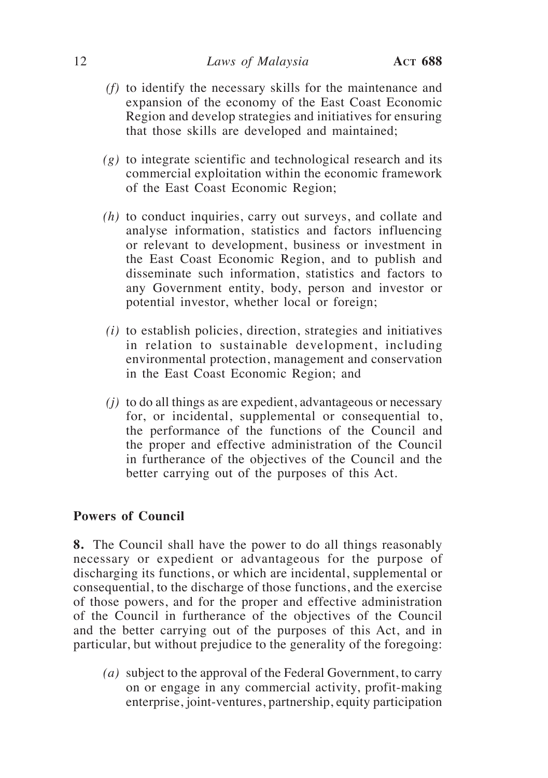- *(f)* to identify the necessary skills for the maintenance and expansion of the economy of the East Coast Economic Region and develop strategies and initiatives for ensuring that those skills are developed and maintained;
- *(g)* to integrate scientific and technological research and its commercial exploitation within the economic framework of the East Coast Economic Region;
- *(h)* to conduct inquiries, carry out surveys, and collate and analyse information, statistics and factors influencing or relevant to development, business or investment in the East Coast Economic Region, and to publish and disseminate such information, statistics and factors to any Government entity, body, person and investor or potential investor, whether local or foreign;
- *(i)* to establish policies, direction, strategies and initiatives in relation to sustainable development, including environmental protection, management and conservation in the East Coast Economic Region; and
- *(j)* to do all things as are expedient, advantageous or necessary for, or incidental, supplemental or consequential to, the performance of the functions of the Council and the proper and effective administration of the Council in furtherance of the objectives of the Council and the better carrying out of the purposes of this Act.

# **Powers of Council**

**8.** The Council shall have the power to do all things reasonably necessary or expedient or advantageous for the purpose of discharging its functions, or which are incidental, supplemental or consequential, to the discharge of those functions, and the exercise of those powers, and for the proper and effective administration of the Council in furtherance of the objectives of the Council and the better carrying out of the purposes of this Act, and in particular, but without prejudice to the generality of the foregoing:

*(a)* subject to the approval of the Federal Government, to carry on or engage in any commercial activity, profit-making enterprise, joint-ventures, partnership, equity participation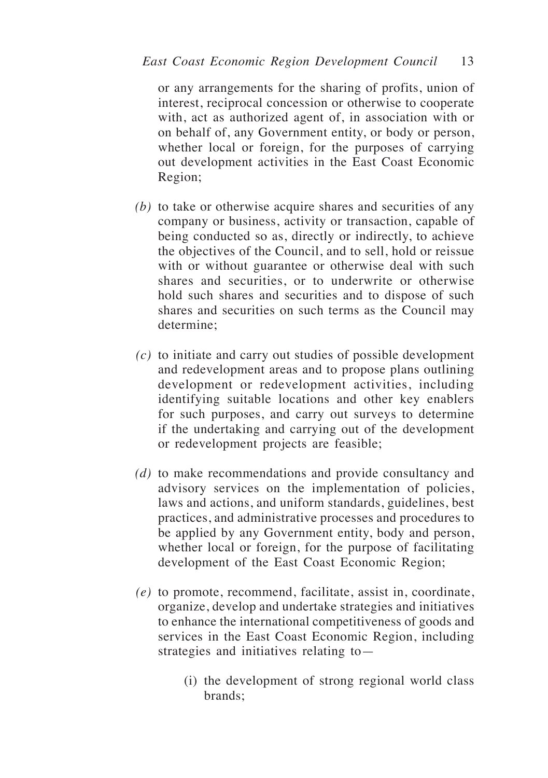or any arrangements for the sharing of profits, union of interest, reciprocal concession or otherwise to cooperate with, act as authorized agent of, in association with or on behalf of, any Government entity, or body or person, whether local or foreign, for the purposes of carrying out development activities in the East Coast Economic Region;

- *(b)* to take or otherwise acquire shares and securities of any company or business, activity or transaction, capable of being conducted so as, directly or indirectly, to achieve the objectives of the Council, and to sell, hold or reissue with or without guarantee or otherwise deal with such shares and securities, or to underwrite or otherwise hold such shares and securities and to dispose of such shares and securities on such terms as the Council may determine;
- *(c)* to initiate and carry out studies of possible development and redevelopment areas and to propose plans outlining development or redevelopment activities, including identifying suitable locations and other key enablers for such purposes, and carry out surveys to determine if the undertaking and carrying out of the development or redevelopment projects are feasible;
- *(d)* to make recommendations and provide consultancy and advisory services on the implementation of policies, laws and actions, and uniform standards, guidelines, best practices, and administrative processes and procedures to be applied by any Government entity, body and person, whether local or foreign, for the purpose of facilitating development of the East Coast Economic Region;
- *(e)* to promote, recommend, facilitate, assist in, coordinate, organize, develop and undertake strategies and initiatives to enhance the international competitiveness of goods and services in the East Coast Economic Region, including strategies and initiatives relating to—
	- (i) the development of strong regional world class brands;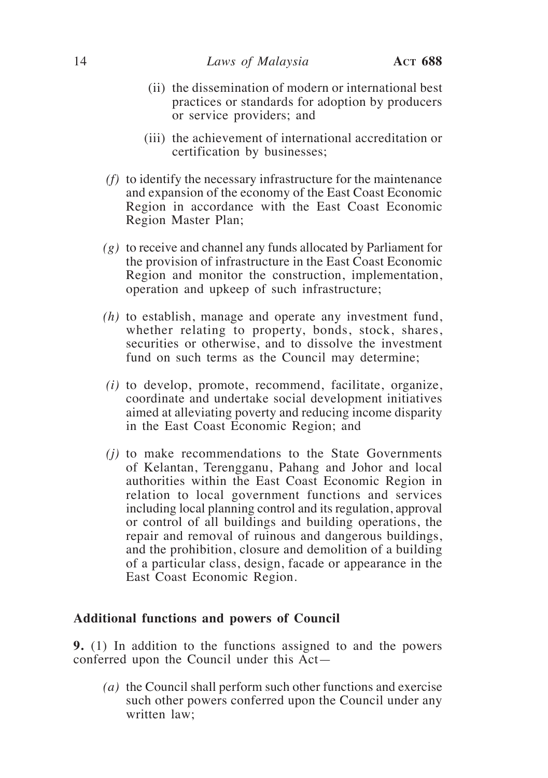- (ii) the dissemination of modern or international best practices or standards for adoption by producers or service providers; and
- (iii) the achievement of international accreditation or certification by businesses;
- *(f)* to identify the necessary infrastructure for the maintenance and expansion of the economy of the East Coast Economic Region in accordance with the East Coast Economic Region Master Plan;
- *(g)* to receive and channel any funds allocated by Parliament for the provision of infrastructure in the East Coast Economic Region and monitor the construction, implementation, operation and upkeep of such infrastructure;
- *(h)* to establish, manage and operate any investment fund, whether relating to property, bonds, stock, shares, securities or otherwise, and to dissolve the investment fund on such terms as the Council may determine;
- *(i)* to develop, promote, recommend, facilitate, organize, coordinate and undertake social development initiatives aimed at alleviating poverty and reducing income disparity in the East Coast Economic Region; and
- *(j)* to make recommendations to the State Governments of Kelantan, Terengganu, Pahang and Johor and local authorities within the East Coast Economic Region in relation to local government functions and services including local planning control and its regulation, approval or control of all buildings and building operations, the repair and removal of ruinous and dangerous buildings, and the prohibition, closure and demolition of a building of a particular class, design, facade or appearance in the East Coast Economic Region.

## **Additional functions and powers of Council**

**9.** (1) In addition to the functions assigned to and the powers conferred upon the Council under this Act—

*(a)* the Council shall perform such other functions and exercise such other powers conferred upon the Council under any written law;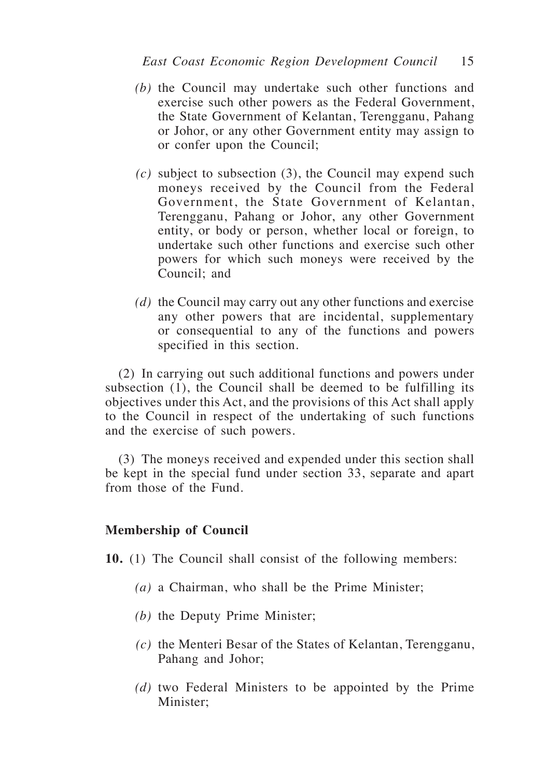- *(b)* the Council may undertake such other functions and exercise such other powers as the Federal Government, the State Government of Kelantan, Terengganu, Pahang or Johor, or any other Government entity may assign to or confer upon the Council;
- *(c)* subject to subsection (3), the Council may expend such moneys received by the Council from the Federal Government, the State Government of Kelantan, Terengganu, Pahang or Johor, any other Government entity, or body or person, whether local or foreign, to undertake such other functions and exercise such other powers for which such moneys were received by the Council; and
- *(d)* the Council may carry out any other functions and exercise any other powers that are incidental, supplementary or consequential to any of the functions and powers specified in this section.

(2) In carrying out such additional functions and powers under subsection (1), the Council shall be deemed to be fulfilling its objectives under this Act, and the provisions of this Act shall apply to the Council in respect of the undertaking of such functions and the exercise of such powers.

(3) The moneys received and expended under this section shall be kept in the special fund under section 33, separate and apart from those of the Fund.

# **Membership of Council**

**10.** (1) The Council shall consist of the following members:

- *(a)* a Chairman, who shall be the Prime Minister;
- *(b)* the Deputy Prime Minister;
- *(c)* the Menteri Besar of the States of Kelantan, Terengganu, Pahang and Johor;
- *(d)* two Federal Ministers to be appointed by the Prime Minister;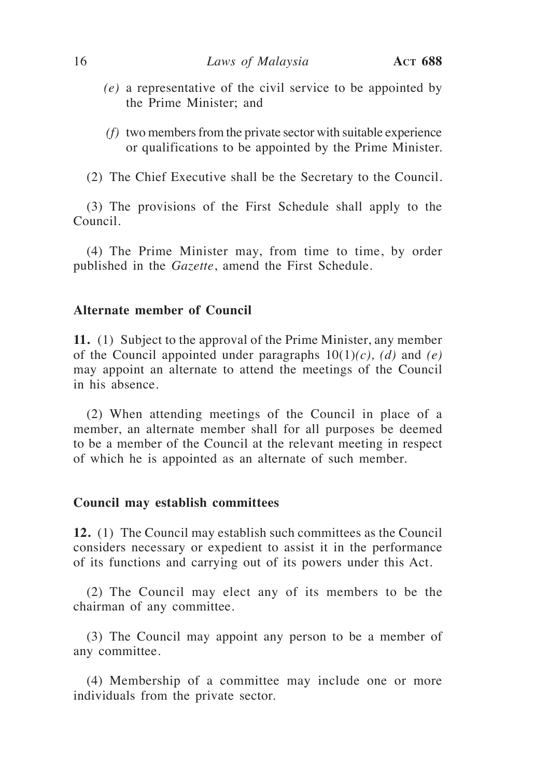- *(e)* a representative of the civil service to be appointed by the Prime Minister; and
- *(f)* two members from the private sector with suitable experience or qualifications to be appointed by the Prime Minister.
- (2) The Chief Executive shall be the Secretary to the Council.

(3) The provisions of the First Schedule shall apply to the Council.

(4) The Prime Minister may, from time to time, by order published in the *Gazette*, amend the First Schedule.

# **Alternate member of Council**

**11.** (1) Subject to the approval of the Prime Minister, any member of the Council appointed under paragraphs  $10(1)(c)$ , *(d)* and *(e)* may appoint an alternate to attend the meetings of the Council in his absence.

(2) When attending meetings of the Council in place of a member, an alternate member shall for all purposes be deemed to be a member of the Council at the relevant meeting in respect of which he is appointed as an alternate of such member.

#### **Council may establish committees**

**12.** (1) The Council may establish such committees as the Council considers necessary or expedient to assist it in the performance of its functions and carrying out of its powers under this Act.

(2) The Council may elect any of its members to be the chairman of any committee.

(3) The Council may appoint any person to be a member of any committee.

(4) Membership of a committee may include one or more individuals from the private sector.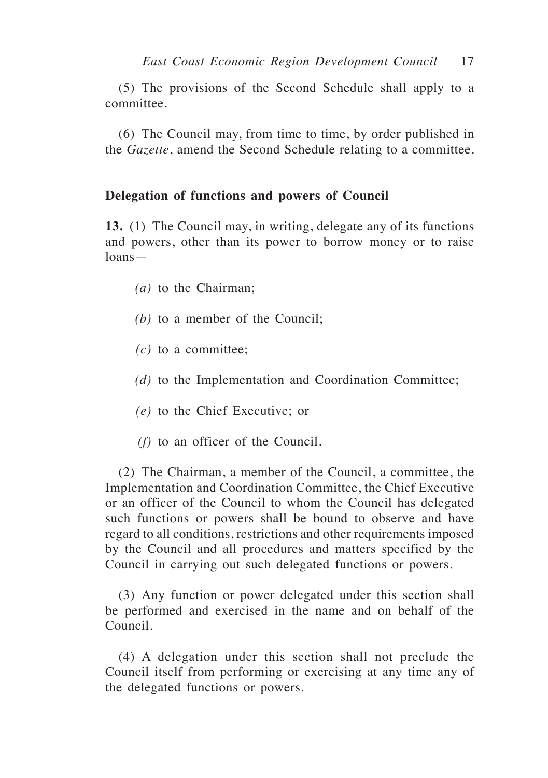(5) The provisions of the Second Schedule shall apply to a committee.

(6) The Council may, from time to time, by order published in the *Gazette*, amend the Second Schedule relating to a committee.

## **Delegation of functions and powers of Council**

**13.** (1) The Council may, in writing, delegate any of its functions and powers, other than its power to borrow money or to raise loans—

- *(a)* to the Chairman;
- *(b)* to a member of the Council;
- *(c)* to a committee;
- *(d)* to the Implementation and Coordination Committee;
- *(e)* to the Chief Executive; or
- *(f)* to an officer of the Council.

(2) The Chairman, a member of the Council, a committee, the Implementation and Coordination Committee, the Chief Executive or an officer of the Council to whom the Council has delegated such functions or powers shall be bound to observe and have regard to all conditions, restrictions and other requirements imposed by the Council and all procedures and matters specified by the Council in carrying out such delegated functions or powers.

(3) Any function or power delegated under this section shall be performed and exercised in the name and on behalf of the Council.

(4) A delegation under this section shall not preclude the Council itself from performing or exercising at any time any of the delegated functions or powers.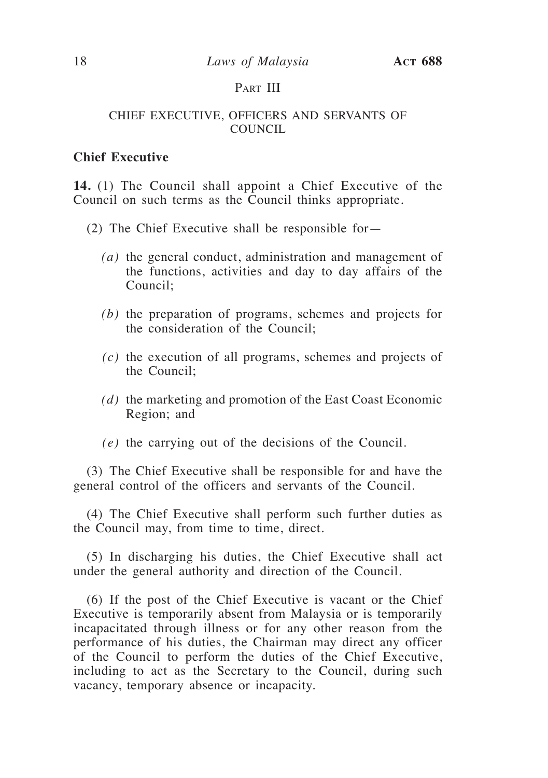# PART III

## CHIEF EXECUTIVE, OFFICERS AND SERVANTS OF COUNCIL

# **Chief Executive**

**14.** (1) The Council shall appoint a Chief Executive of the Council on such terms as the Council thinks appropriate.

- (2) The Chief Executive shall be responsible for—
	- *(a)* the general conduct, administration and management of the functions, activities and day to day affairs of the Council;
	- *(b)* the preparation of programs, schemes and projects for the consideration of the Council;
	- *(c)* the execution of all programs, schemes and projects of the Council;
	- *(d)* the marketing and promotion of the East Coast Economic Region; and
	- *(e)* the carrying out of the decisions of the Council.

(3) The Chief Executive shall be responsible for and have the general control of the officers and servants of the Council.

(4) The Chief Executive shall perform such further duties as the Council may, from time to time, direct.

(5) In discharging his duties, the Chief Executive shall act under the general authority and direction of the Council.

(6) If the post of the Chief Executive is vacant or the Chief Executive is temporarily absent from Malaysia or is temporarily incapacitated through illness or for any other reason from the performance of his duties, the Chairman may direct any officer of the Council to perform the duties of the Chief Executive, including to act as the Secretary to the Council, during such vacancy, temporary absence or incapacity.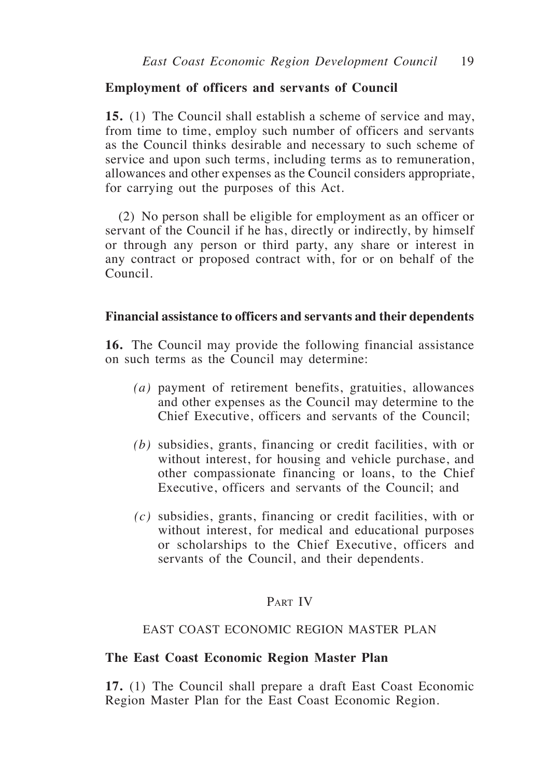## **Employment of officers and servants of Council**

**15.** (1) The Council shall establish a scheme of service and may, from time to time, employ such number of officers and servants as the Council thinks desirable and necessary to such scheme of service and upon such terms, including terms as to remuneration, allowances and other expenses as the Council considers appropriate, for carrying out the purposes of this Act.

(2) No person shall be eligible for employment as an officer or servant of the Council if he has, directly or indirectly, by himself or through any person or third party, any share or interest in any contract or proposed contract with, for or on behalf of the Council.

## **Financial assistance to officers and servants and their dependents**

**16.** The Council may provide the following financial assistance on such terms as the Council may determine:

- *(a)* payment of retirement benefits, gratuities, allowances and other expenses as the Council may determine to the Chief Executive, officers and servants of the Council;
- *(b)* subsidies, grants, financing or credit facilities, with or without interest, for housing and vehicle purchase, and other compassionate financing or loans, to the Chief Executive, officers and servants of the Council; and
- *(c)* subsidies, grants, financing or credit facilities, with or without interest, for medical and educational purposes or scholarships to the Chief Executive, officers and servants of the Council, and their dependents.

# PART IV

## EAST COAST ECONOMIC REGION MASTER PLAN

#### **The East Coast Economic Region Master Plan**

**17.** (1) The Council shall prepare a draft East Coast Economic Region Master Plan for the East Coast Economic Region.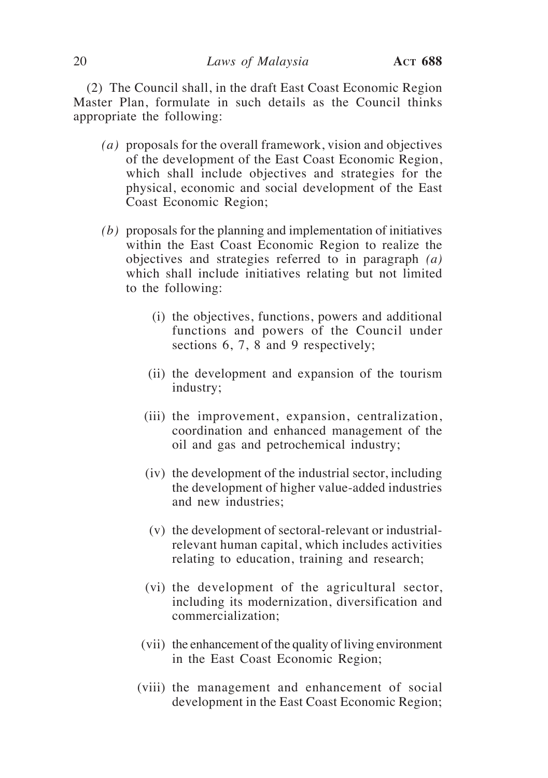(2) The Council shall, in the draft East Coast Economic Region Master Plan, formulate in such details as the Council thinks appropriate the following:

- *(a)* proposals for the overall framework, vision and objectives of the development of the East Coast Economic Region, which shall include objectives and strategies for the physical, economic and social development of the East Coast Economic Region;
- *(b)* proposals for the planning and implementation of initiatives within the East Coast Economic Region to realize the objectives and strategies referred to in paragraph *(a)*  which shall include initiatives relating but not limited to the following:
	- (i) the objectives, functions, powers and additional functions and powers of the Council under sections 6, 7, 8 and 9 respectively;
	- (ii) the development and expansion of the tourism industry;
	- (iii) the improvement, expansion, centralization, coordination and enhanced management of the oil and gas and petrochemical industry;
	- (iv) the development of the industrial sector, including the development of higher value-added industries and new industries;
	- (v) the development of sectoral-relevant or industrialrelevant human capital, which includes activities relating to education, training and research;
	- (vi) the development of the agricultural sector, including its modernization, diversification and commercialization;
	- (vii) the enhancement of the quality of living environment in the East Coast Economic Region;
	- (viii) the management and enhancement of social development in the East Coast Economic Region;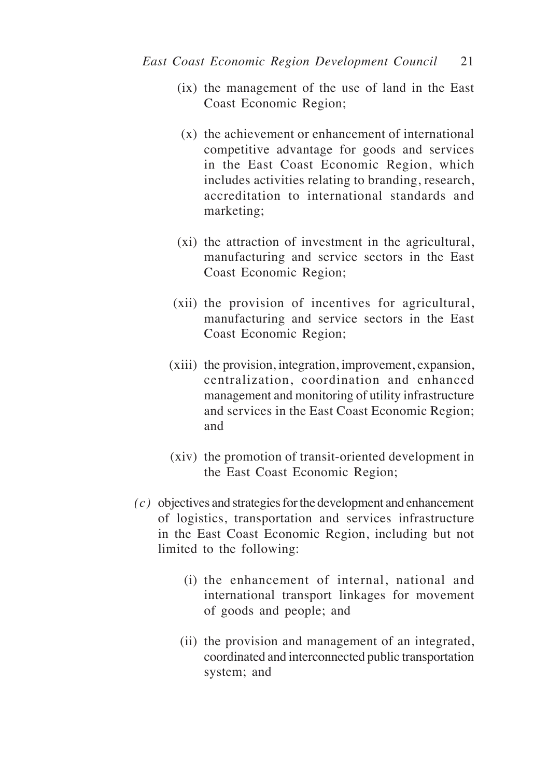- (ix) the management of the use of land in the East Coast Economic Region;
- (x) the achievement or enhancement of international competitive advantage for goods and services in the East Coast Economic Region, which includes activities relating to branding, research, accreditation to international standards and marketing;
- (xi) the attraction of investment in the agricultural, manufacturing and service sectors in the East Coast Economic Region;
- (xii) the provision of incentives for agricultural, manufacturing and service sectors in the East Coast Economic Region;
- (xiii) the provision, integration, improvement, expansion, centralization, coordination and enhanced management and monitoring of utility infrastructure and services in the East Coast Economic Region; and
- (xiv) the promotion of transit-oriented development in the East Coast Economic Region;
- *(c)* objectives and strategies for the development and enhancement of logistics, transportation and services infrastructure in the East Coast Economic Region, including but not limited to the following:
	- (i) the enhancement of internal, national and international transport linkages for movement of goods and people; and
	- (ii) the provision and management of an integrated, coordinated and interconnected public transportation system; and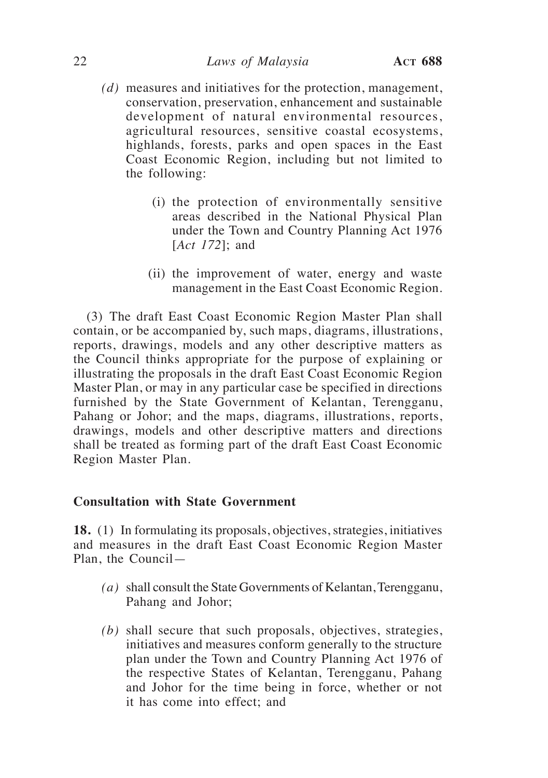- *(d)* measures and initiatives for the protection, management, conservation, preservation, enhancement and sustainable development of natural environmental resources, agricultural resources, sensitive coastal ecosystems, highlands, forests, parks and open spaces in the East Coast Economic Region, including but not limited to the following:
	- (i) the protection of environmentally sensitive areas described in the National Physical Plan under the Town and Country Planning Act 1976 [*Act 172*]; and
	- (ii) the improvement of water, energy and waste management in the East Coast Economic Region.

(3) The draft East Coast Economic Region Master Plan shall contain, or be accompanied by, such maps, diagrams, illustrations, reports, drawings, models and any other descriptive matters as the Council thinks appropriate for the purpose of explaining or illustrating the proposals in the draft East Coast Economic Region Master Plan, or may in any particular case be specified in directions furnished by the State Government of Kelantan, Terengganu, Pahang or Johor; and the maps, diagrams, illustrations, reports, drawings, models and other descriptive matters and directions shall be treated as forming part of the draft East Coast Economic Region Master Plan.

## **Consultation with State Government**

**18.** (1) In formulating its proposals, objectives, strategies, initiatives and measures in the draft East Coast Economic Region Master Plan, the Council—

- *(a)* shall consult the State Governments of Kelantan, Terengganu, Pahang and Johor;
- *(b)* shall secure that such proposals, objectives, strategies, initiatives and measures conform generally to the structure plan under the Town and Country Planning Act 1976 of the respective States of Kelantan, Terengganu, Pahang and Johor for the time being in force, whether or not it has come into effect; and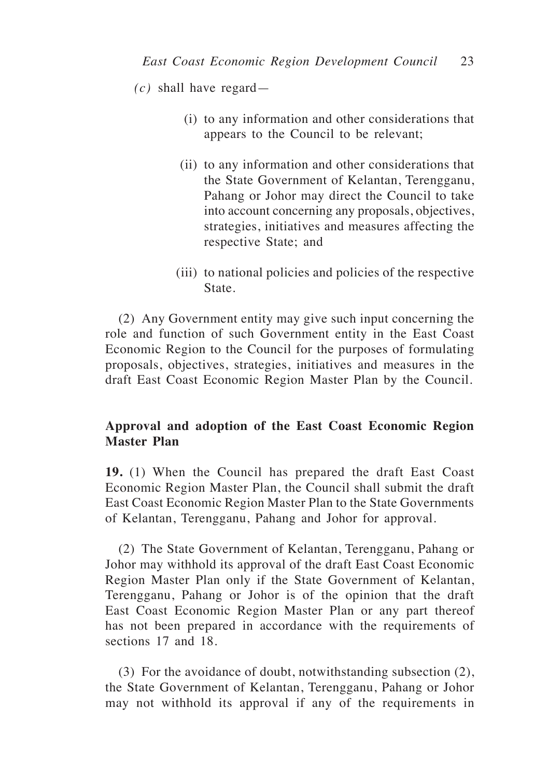*(c)* shall have regard—

- (i) to any information and other considerations that appears to the Council to be relevant;
- (ii) to any information and other considerations that the State Government of Kelantan, Terengganu, Pahang or Johor may direct the Council to take into account concerning any proposals, objectives, strategies, initiatives and measures affecting the respective State; and
- (iii) to national policies and policies of the respective State.

(2) Any Government entity may give such input concerning the role and function of such Government entity in the East Coast Economic Region to the Council for the purposes of formulating proposals, objectives, strategies, initiatives and measures in the draft East Coast Economic Region Master Plan by the Council.

# **Approval and adoption of the East Coast Economic Region Master Plan**

**19.** (1) When the Council has prepared the draft East Coast Economic Region Master Plan, the Council shall submit the draft East Coast Economic Region Master Plan to the State Governments of Kelantan, Terengganu, Pahang and Johor for approval.

(2) The State Government of Kelantan, Terengganu, Pahang or Johor may withhold its approval of the draft East Coast Economic Region Master Plan only if the State Government of Kelantan, Terengganu, Pahang or Johor is of the opinion that the draft East Coast Economic Region Master Plan or any part thereof has not been prepared in accordance with the requirements of sections 17 and 18.

(3) For the avoidance of doubt, notwithstanding subsection (2), the State Government of Kelantan, Terengganu, Pahang or Johor may not withhold its approval if any of the requirements in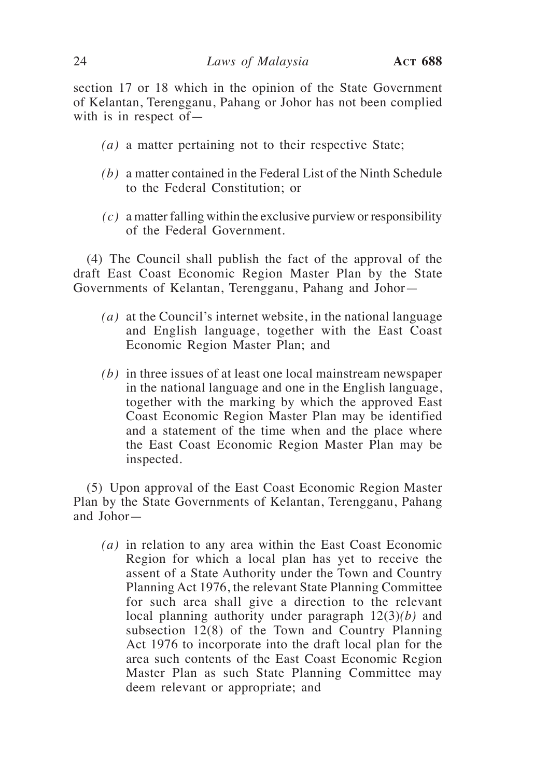section 17 or 18 which in the opinion of the State Government of Kelantan, Terengganu, Pahang or Johor has not been complied with is in respect of—

- *(a)* a matter pertaining not to their respective State;
- *(b)* a matter contained in the Federal List of the Ninth Schedule to the Federal Constitution; or
- *(c)* a matter falling within the exclusive purview or responsibility of the Federal Government.

(4) The Council shall publish the fact of the approval of the draft East Coast Economic Region Master Plan by the State Governments of Kelantan, Terengganu, Pahang and Johor—

- *(a)* at the Council's internet website, in the national language and English language, together with the East Coast Economic Region Master Plan; and
- *(b)* in three issues of at least one local mainstream newspaper in the national language and one in the English language, together with the marking by which the approved East Coast Economic Region Master Plan may be identified and a statement of the time when and the place where the East Coast Economic Region Master Plan may be inspected.

(5) Upon approval of the East Coast Economic Region Master Plan by the State Governments of Kelantan, Terengganu, Pahang and Johor—

*(a)* in relation to any area within the East Coast Economic Region for which a local plan has yet to receive the assent of a State Authority under the Town and Country Planning Act 1976, the relevant State Planning Committee for such area shall give a direction to the relevant local planning authority under paragraph 12(3)*(b)* and subsection 12(8) of the Town and Country Planning Act 1976 to incorporate into the draft local plan for the area such contents of the East Coast Economic Region Master Plan as such State Planning Committee may deem relevant or appropriate; and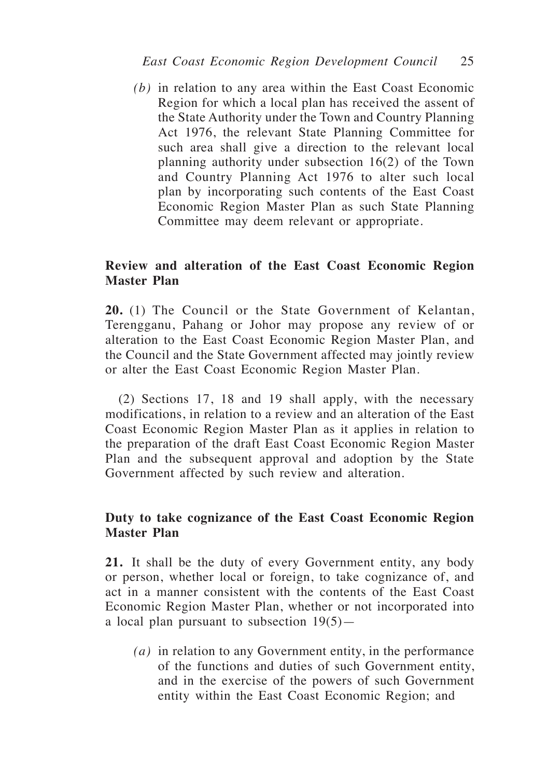*(b)* in relation to any area within the East Coast Economic Region for which a local plan has received the assent of the State Authority under the Town and Country Planning Act 1976, the relevant State Planning Committee for such area shall give a direction to the relevant local planning authority under subsection 16(2) of the Town and Country Planning Act 1976 to alter such local plan by incorporating such contents of the East Coast Economic Region Master Plan as such State Planning Committee may deem relevant or appropriate.

# **Review and alteration of the East Coast Economic Region Master Plan**

**20.** (1) The Council or the State Government of Kelantan, Terengganu, Pahang or Johor may propose any review of or alteration to the East Coast Economic Region Master Plan, and the Council and the State Government affected may jointly review or alter the East Coast Economic Region Master Plan.

(2) Sections 17, 18 and 19 shall apply, with the necessary modifications, in relation to a review and an alteration of the East Coast Economic Region Master Plan as it applies in relation to the preparation of the draft East Coast Economic Region Master Plan and the subsequent approval and adoption by the State Government affected by such review and alteration.

# **Duty to take cognizance of the East Coast Economic Region Master Plan**

**21.** It shall be the duty of every Government entity, any body or person, whether local or foreign, to take cognizance of, and act in a manner consistent with the contents of the East Coast Economic Region Master Plan, whether or not incorporated into a local plan pursuant to subsection  $19(5)$ —

*(a)* in relation to any Government entity, in the performance of the functions and duties of such Government entity, and in the exercise of the powers of such Government entity within the East Coast Economic Region; and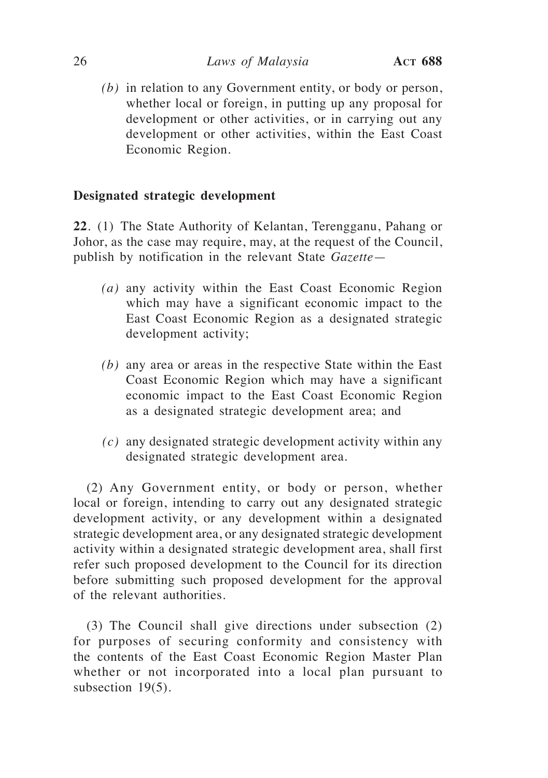## 26 *Laws of Malaysia* **Act 688**

*(b)* in relation to any Government entity, or body or person, whether local or foreign, in putting up any proposal for development or other activities, or in carrying out any development or other activities, within the East Coast Economic Region.

# **Designated strategic development**

**22**. (1) The State Authority of Kelantan, Terengganu, Pahang or Johor, as the case may require, may, at the request of the Council, publish by notification in the relevant State *Gazette*—

- *(a)* any activity within the East Coast Economic Region which may have a significant economic impact to the East Coast Economic Region as a designated strategic development activity;
- *(b)* any area or areas in the respective State within the East Coast Economic Region which may have a significant economic impact to the East Coast Economic Region as a designated strategic development area; and
- *(c)* any designated strategic development activity within any designated strategic development area.

(2) Any Government entity, or body or person, whether local or foreign, intending to carry out any designated strategic development activity, or any development within a designated strategic development area, or any designated strategic development activity within a designated strategic development area, shall first refer such proposed development to the Council for its direction before submitting such proposed development for the approval of the relevant authorities.

(3) The Council shall give directions under subsection (2) for purposes of securing conformity and consistency with the contents of the East Coast Economic Region Master Plan whether or not incorporated into a local plan pursuant to subsection 19(5).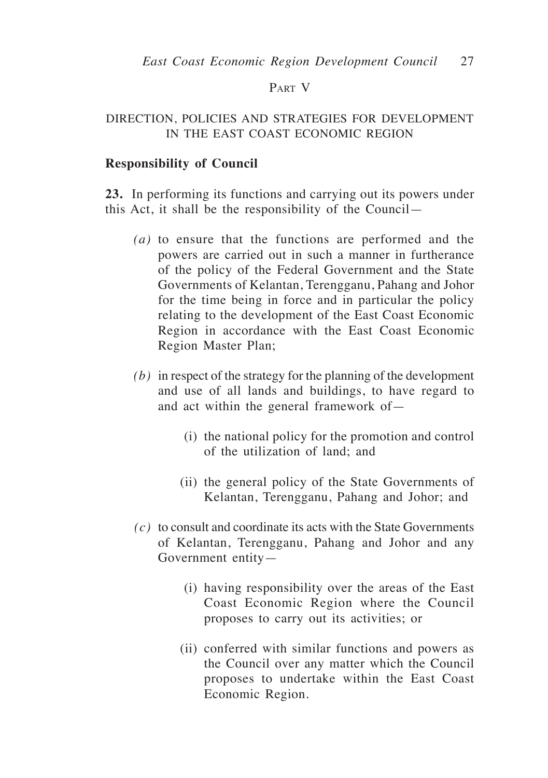# Part V

# DIRECTION, POLICIES AND STRATEGIES FOR DEVELOPMENT IN THE EAST COAST ECONOMIC REGION

## **Responsibility of Council**

**23.** In performing its functions and carrying out its powers under this Act, it shall be the responsibility of the Council—

- *(a)* to ensure that the functions are performed and the powers are carried out in such a manner in furtherance of the policy of the Federal Government and the State Governments of Kelantan, Terengganu, Pahang and Johor for the time being in force and in particular the policy relating to the development of the East Coast Economic Region in accordance with the East Coast Economic Region Master Plan;
- *(b)* in respect of the strategy for the planning of the development and use of all lands and buildings, to have regard to and act within the general framework of—
	- (i) the national policy for the promotion and control of the utilization of land; and
	- (ii) the general policy of the State Governments of Kelantan, Terengganu, Pahang and Johor; and
- *(c)* to consult and coordinate its acts with the State Governments of Kelantan, Terengganu, Pahang and Johor and any Government entity—
	- (i) having responsibility over the areas of the East Coast Economic Region where the Council proposes to carry out its activities; or
	- (ii) conferred with similar functions and powers as the Council over any matter which the Council proposes to undertake within the East Coast Economic Region.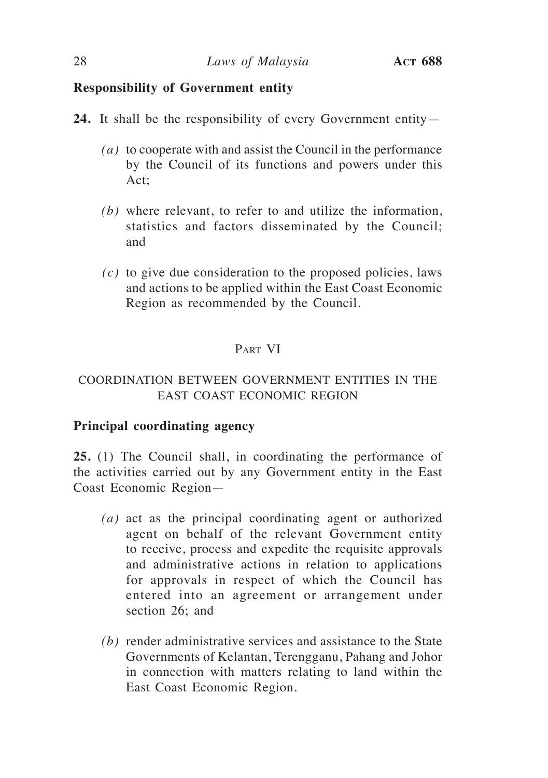# **Responsibility of Government entity**

- **24.** It shall be the responsibility of every Government entity—
	- *(a)* to cooperate with and assist the Council in the performance by the Council of its functions and powers under this Act;
	- *(b)* where relevant, to refer to and utilize the information, statistics and factors disseminated by the Council; and
	- *(c)* to give due consideration to the proposed policies, laws and actions to be applied within the East Coast Economic Region as recommended by the Council.

# Part VI

# COORDINATION BETWEEN GOVERNMENT ENTITIES IN THE EAST COAST ECONOMIC REGION

# **Principal coordinating agency**

**25.** (1) The Council shall, in coordinating the performance of the activities carried out by any Government entity in the East Coast Economic Region—

- *(a)* act as the principal coordinating agent or authorized agent on behalf of the relevant Government entity to receive, process and expedite the requisite approvals and administrative actions in relation to applications for approvals in respect of which the Council has entered into an agreement or arrangement under section 26; and
- *(b)* render administrative services and assistance to the State Governments of Kelantan, Terengganu, Pahang and Johor in connection with matters relating to land within the East Coast Economic Region.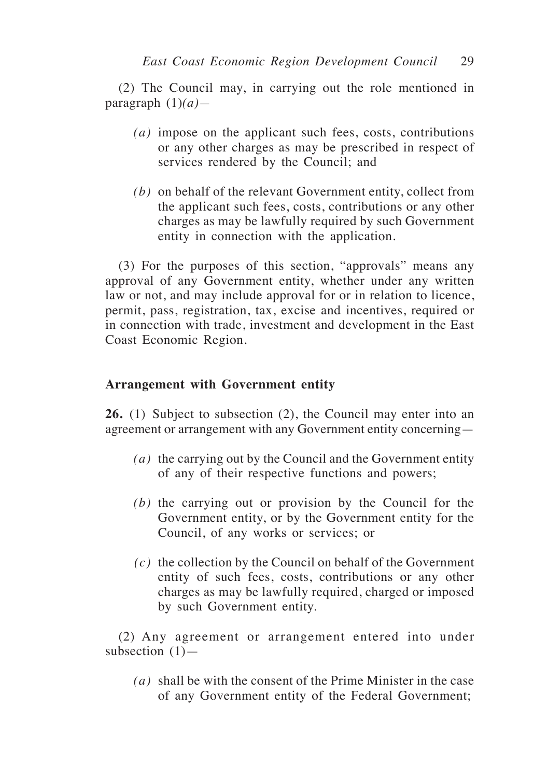(2) The Council may, in carrying out the role mentioned in paragraph (1)*(a)—*

- *(a)* impose on the applicant such fees, costs, contributions or any other charges as may be prescribed in respect of services rendered by the Council; and
- *(b)* on behalf of the relevant Government entity, collect from the applicant such fees, costs, contributions or any other charges as may be lawfully required by such Government entity in connection with the application.

(3) For the purposes of this section, "approvals" means any approval of any Government entity, whether under any written law or not, and may include approval for or in relation to licence, permit, pass, registration, tax, excise and incentives, required or in connection with trade, investment and development in the East Coast Economic Region.

# **Arrangement with Government entity**

**26.** (1) Subject to subsection (2), the Council may enter into an agreement or arrangement with any Government entity concerning—

- *(a)* the carrying out by the Council and the Government entity of any of their respective functions and powers;
- *(b)* the carrying out or provision by the Council for the Government entity, or by the Government entity for the Council, of any works or services; or
- *(c)* the collection by the Council on behalf of the Government entity of such fees, costs, contributions or any other charges as may be lawfully required, charged or imposed by such Government entity.

(2) Any agreement or arrangement entered into under subsection  $(1)$ —

*(a)* shall be with the consent of the Prime Minister in the case of any Government entity of the Federal Government;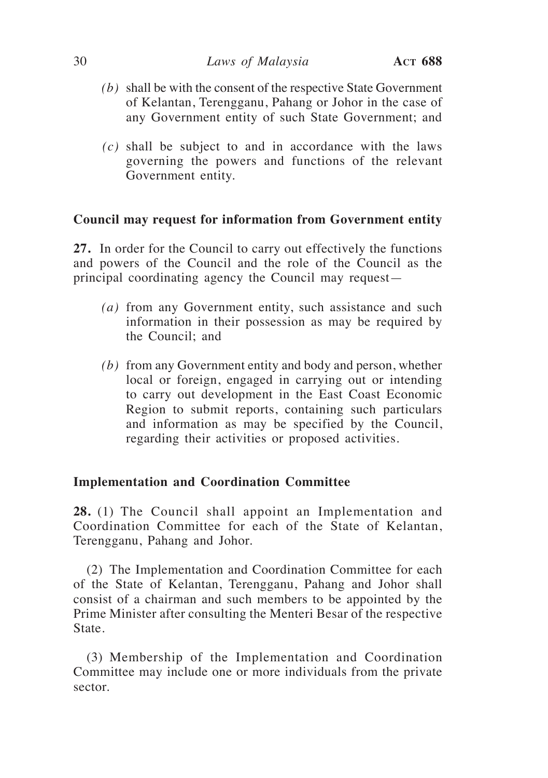## 30 *Laws of Malaysia* **Act 688**

- *(b)* shall be with the consent of the respective State Government of Kelantan, Terengganu, Pahang or Johor in the case of any Government entity of such State Government; and
- *(c)* shall be subject to and in accordance with the laws governing the powers and functions of the relevant Government entity.

# **Council may request for information from Government entity**

**27.** In order for the Council to carry out effectively the functions and powers of the Council and the role of the Council as the principal coordinating agency the Council may request—

- *(a)* from any Government entity, such assistance and such information in their possession as may be required by the Council; and
- *(b)* from any Government entity and body and person, whether local or foreign, engaged in carrying out or intending to carry out development in the East Coast Economic Region to submit reports, containing such particulars and information as may be specified by the Council, regarding their activities or proposed activities.

# **Implementation and Coordination Committee**

**28.** (1) The Council shall appoint an Implementation and Coordination Committee for each of the State of Kelantan, Terengganu, Pahang and Johor.

(2) The Implementation and Coordination Committee for each of the State of Kelantan, Terengganu, Pahang and Johor shall consist of a chairman and such members to be appointed by the Prime Minister after consulting the Menteri Besar of the respective State.

(3) Membership of the Implementation and Coordination Committee may include one or more individuals from the private sector.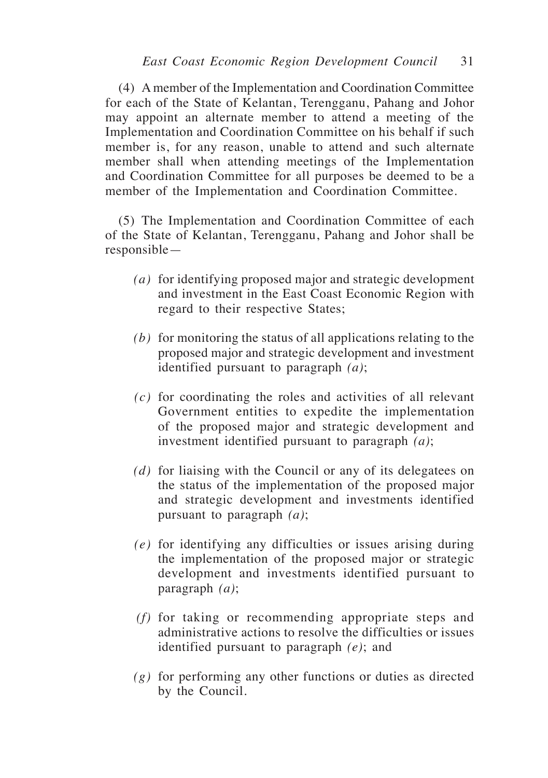(4) A member of the Implementation and Coordination Committee for each of the State of Kelantan, Terengganu, Pahang and Johor may appoint an alternate member to attend a meeting of the Implementation and Coordination Committee on his behalf if such member is, for any reason, unable to attend and such alternate member shall when attending meetings of the Implementation and Coordination Committee for all purposes be deemed to be a member of the Implementation and Coordination Committee.

(5) The Implementation and Coordination Committee of each of the State of Kelantan, Terengganu, Pahang and Johor shall be responsible—

- *(a)* for identifying proposed major and strategic development and investment in the East Coast Economic Region with regard to their respective States;
- *(b)* for monitoring the status of all applications relating to the proposed major and strategic development and investment identified pursuant to paragraph *(a)*;
- *(c)* for coordinating the roles and activities of all relevant Government entities to expedite the implementation of the proposed major and strategic development and investment identified pursuant to paragraph *(a)*;
- *(d)* for liaising with the Council or any of its delegatees on the status of the implementation of the proposed major and strategic development and investments identified pursuant to paragraph *(a)*;
- *(e)* for identifying any difficulties or issues arising during the implementation of the proposed major or strategic development and investments identified pursuant to paragraph *(a)*;
- *(f)* for taking or recommending appropriate steps and administrative actions to resolve the difficulties or issues identified pursuant to paragraph *(e)*; and
- *(g)* for performing any other functions or duties as directed by the Council.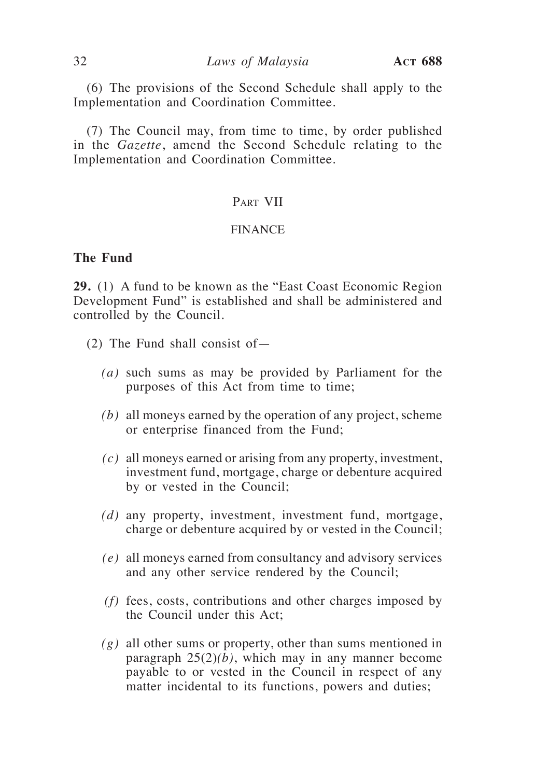(6) The provisions of the Second Schedule shall apply to the Implementation and Coordination Committee.

(7) The Council may, from time to time, by order published in the *Gazette*, amend the Second Schedule relating to the Implementation and Coordination Committee.

# Part VII

#### FINANCE

# **The Fund**

**29.** (1) A fund to be known as the "East Coast Economic Region Development Fund" is established and shall be administered and controlled by the Council.

- (2) The Fund shall consist of—
	- *(a)* such sums as may be provided by Parliament for the purposes of this Act from time to time;
	- *(b)* all moneys earned by the operation of any project, scheme or enterprise financed from the Fund;
	- *(c)* all moneys earned or arising from any property, investment, investment fund, mortgage, charge or debenture acquired by or vested in the Council;
	- *(d)* any property, investment, investment fund, mortgage, charge or debenture acquired by or vested in the Council;
	- *(e)* all moneys earned from consultancy and advisory services and any other service rendered by the Council;
	- *(f)* fees, costs, contributions and other charges imposed by the Council under this Act;
	- *(g)* all other sums or property, other than sums mentioned in paragraph 25(2)*(b)*, which may in any manner become payable to or vested in the Council in respect of any matter incidental to its functions, powers and duties;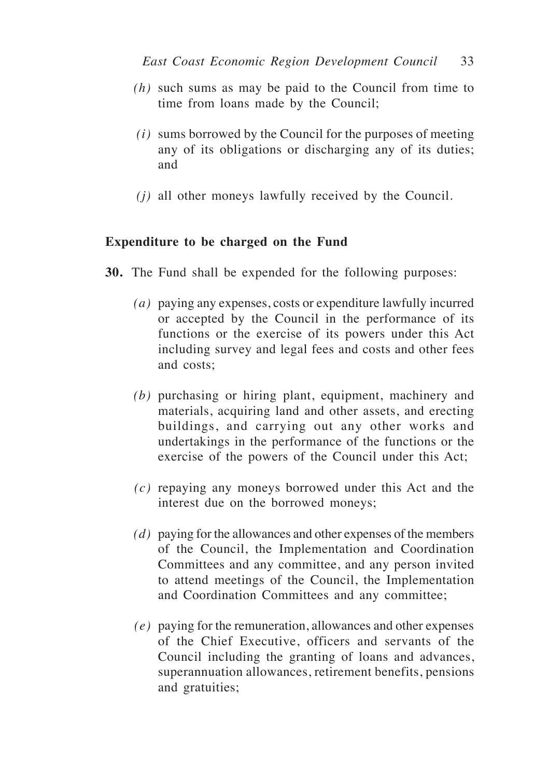- *(h)* such sums as may be paid to the Council from time to time from loans made by the Council;
- *(i)* sums borrowed by the Council for the purposes of meeting any of its obligations or discharging any of its duties; and
- *(j)* all other moneys lawfully received by the Council.

# **Expenditure to be charged on the Fund**

- **30.** The Fund shall be expended for the following purposes:
	- *(a)* paying any expenses, costs or expenditure lawfully incurred or accepted by the Council in the performance of its functions or the exercise of its powers under this Act including survey and legal fees and costs and other fees and costs;
	- *(b)* purchasing or hiring plant, equipment, machinery and materials, acquiring land and other assets, and erecting buildings, and carrying out any other works and undertakings in the performance of the functions or the exercise of the powers of the Council under this Act;
	- *(c)* repaying any moneys borrowed under this Act and the interest due on the borrowed moneys;
	- *(d)* paying for the allowances and other expenses of the members of the Council, the Implementation and Coordination Committees and any committee, and any person invited to attend meetings of the Council, the Implementation and Coordination Committees and any committee;
	- *(e)* paying for the remuneration, allowances and other expenses of the Chief Executive, officers and servants of the Council including the granting of loans and advances, superannuation allowances, retirement benefits, pensions and gratuities;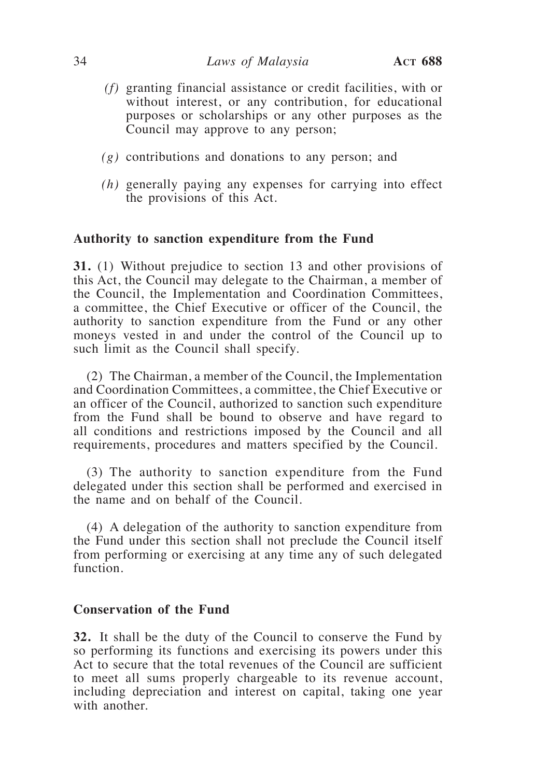## 34 *Laws of Malaysia* **Act 688**

- *(f)* granting financial assistance or credit facilities, with or without interest, or any contribution, for educational purposes or scholarships or any other purposes as the Council may approve to any person;
- *(g)* contributions and donations to any person; and
- *(h)* generally paying any expenses for carrying into effect the provisions of this Act.

## **Authority to sanction expenditure from the Fund**

**31.** (1) Without prejudice to section 13 and other provisions of this Act, the Council may delegate to the Chairman, a member of the Council, the Implementation and Coordination Committees, a committee, the Chief Executive or officer of the Council, the authority to sanction expenditure from the Fund or any other moneys vested in and under the control of the Council up to such limit as the Council shall specify.

(2) The Chairman, a member of the Council, the Implementation and Coordination Committees, a committee, the Chief Executive or an officer of the Council, authorized to sanction such expenditure from the Fund shall be bound to observe and have regard to all conditions and restrictions imposed by the Council and all requirements, procedures and matters specified by the Council.

(3) The authority to sanction expenditure from the Fund delegated under this section shall be performed and exercised in the name and on behalf of the Council.

(4) A delegation of the authority to sanction expenditure from the Fund under this section shall not preclude the Council itself from performing or exercising at any time any of such delegated function.

## **Conservation of the Fund**

**32.** It shall be the duty of the Council to conserve the Fund by so performing its functions and exercising its powers under this Act to secure that the total revenues of the Council are sufficient to meet all sums properly chargeable to its revenue account, including depreciation and interest on capital, taking one year with another.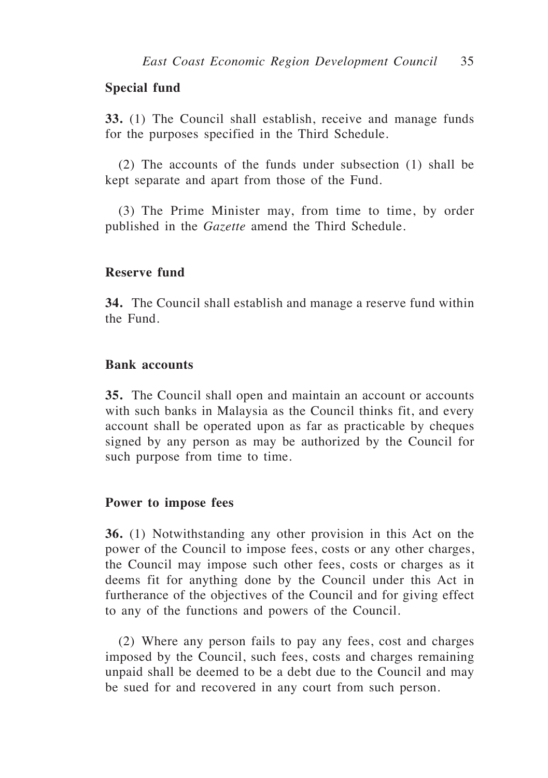# **Special fund**

**33.** (1) The Council shall establish, receive and manage funds for the purposes specified in the Third Schedule.

(2) The accounts of the funds under subsection (1) shall be kept separate and apart from those of the Fund.

(3) The Prime Minister may, from time to time, by order published in the *Gazette* amend the Third Schedule.

## **Reserve fund**

**34.** The Council shall establish and manage a reserve fund within the Fund.

## **Bank accounts**

**35.** The Council shall open and maintain an account or accounts with such banks in Malaysia as the Council thinks fit, and every account shall be operated upon as far as practicable by cheques signed by any person as may be authorized by the Council for such purpose from time to time.

#### **Power to impose fees**

**36.** (1) Notwithstanding any other provision in this Act on the power of the Council to impose fees, costs or any other charges, the Council may impose such other fees, costs or charges as it deems fit for anything done by the Council under this Act in furtherance of the objectives of the Council and for giving effect to any of the functions and powers of the Council.

(2) Where any person fails to pay any fees, cost and charges imposed by the Council, such fees, costs and charges remaining unpaid shall be deemed to be a debt due to the Council and may be sued for and recovered in any court from such person.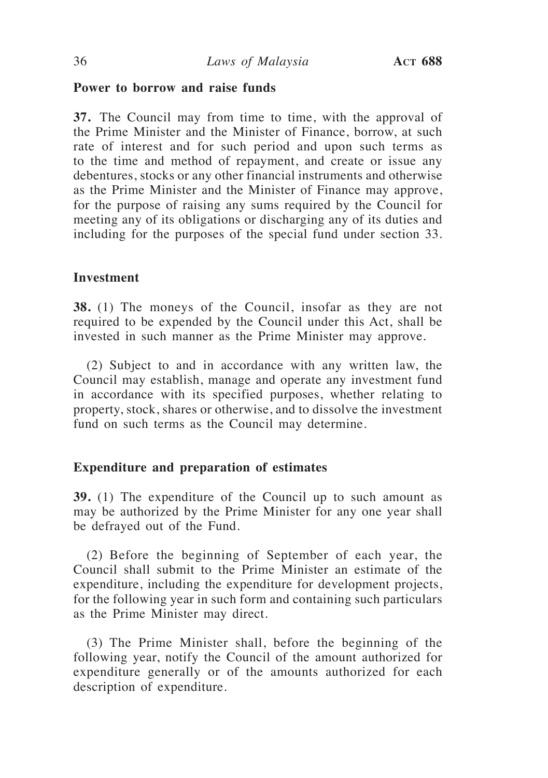# **Power to borrow and raise funds**

**37.** The Council may from time to time, with the approval of the Prime Minister and the Minister of Finance, borrow, at such rate of interest and for such period and upon such terms as to the time and method of repayment, and create or issue any debentures, stocks or any other financial instruments and otherwise as the Prime Minister and the Minister of Finance may approve, for the purpose of raising any sums required by the Council for meeting any of its obligations or discharging any of its duties and including for the purposes of the special fund under section 33.

## **Investment**

**38.** (1) The moneys of the Council, insofar as they are not required to be expended by the Council under this Act, shall be invested in such manner as the Prime Minister may approve.

(2) Subject to and in accordance with any written law, the Council may establish, manage and operate any investment fund in accordance with its specified purposes, whether relating to property, stock, shares or otherwise, and to dissolve the investment fund on such terms as the Council may determine.

## **Expenditure and preparation of estimates**

**39.** (1) The expenditure of the Council up to such amount as may be authorized by the Prime Minister for any one year shall be defrayed out of the Fund.

(2) Before the beginning of September of each year, the Council shall submit to the Prime Minister an estimate of the expenditure, including the expenditure for development projects, for the following year in such form and containing such particulars as the Prime Minister may direct.

(3) The Prime Minister shall, before the beginning of the following year, notify the Council of the amount authorized for expenditure generally or of the amounts authorized for each description of expenditure.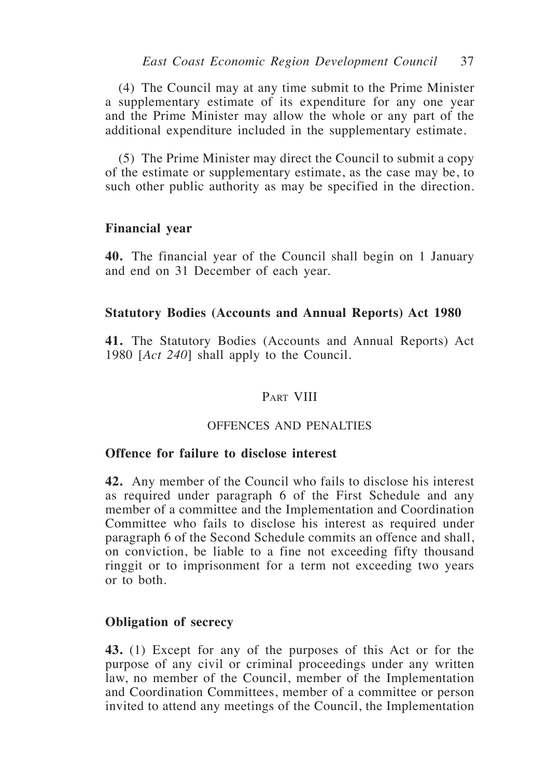(4) The Council may at any time submit to the Prime Minister a supplementary estimate of its expenditure for any one year and the Prime Minister may allow the whole or any part of the additional expenditure included in the supplementary estimate.

(5) The Prime Minister may direct the Council to submit a copy of the estimate or supplementary estimate, as the case may be, to such other public authority as may be specified in the direction.

# **Financial year**

**40.** The financial year of the Council shall begin on 1 January and end on 31 December of each year.

# **Statutory Bodies (Accounts and Annual Reports) Act 1980**

**41.** The Statutory Bodies (Accounts and Annual Reports) Act 1980 [*Act 240*] shall apply to the Council.

# PART VIII

## OFFENCES AND PENALTIES

## **Offence for failure to disclose interest**

**42.** Any member of the Council who fails to disclose his interest as required under paragraph 6 of the First Schedule and any member of a committee and the Implementation and Coordination Committee who fails to disclose his interest as required under paragraph 6 of the Second Schedule commits an offence and shall, on conviction, be liable to a fine not exceeding fifty thousand ringgit or to imprisonment for a term not exceeding two years or to both.

## **Obligation of secrecy**

**43.** (1) Except for any of the purposes of this Act or for the purpose of any civil or criminal proceedings under any written law, no member of the Council, member of the Implementation and Coordination Committees, member of a committee or person invited to attend any meetings of the Council, the Implementation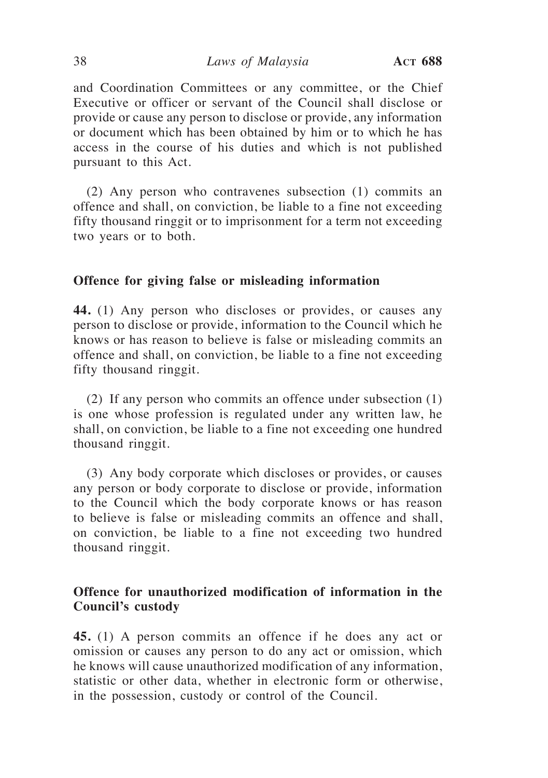and Coordination Committees or any committee, or the Chief Executive or officer or servant of the Council shall disclose or provide or cause any person to disclose or provide, any information or document which has been obtained by him or to which he has access in the course of his duties and which is not published pursuant to this Act.

(2) Any person who contravenes subsection (1) commits an offence and shall, on conviction, be liable to a fine not exceeding fifty thousand ringgit or to imprisonment for a term not exceeding two years or to both.

## **Offence for giving false or misleading information**

**44.** (1) Any person who discloses or provides, or causes any person to disclose or provide, information to the Council which he knows or has reason to believe is false or misleading commits an offence and shall, on conviction, be liable to a fine not exceeding fifty thousand ringgit.

(2) If any person who commits an offence under subsection (1) is one whose profession is regulated under any written law, he shall, on conviction, be liable to a fine not exceeding one hundred thousand ringgit.

(3) Any body corporate which discloses or provides, or causes any person or body corporate to disclose or provide, information to the Council which the body corporate knows or has reason to believe is false or misleading commits an offence and shall, on conviction, be liable to a fine not exceeding two hundred thousand ringgit.

# **Offence for unauthorized modification of information in the Council's custody**

**45.** (1) A person commits an offence if he does any act or omission or causes any person to do any act or omission, which he knows will cause unauthorized modification of any information, statistic or other data, whether in electronic form or otherwise, in the possession, custody or control of the Council.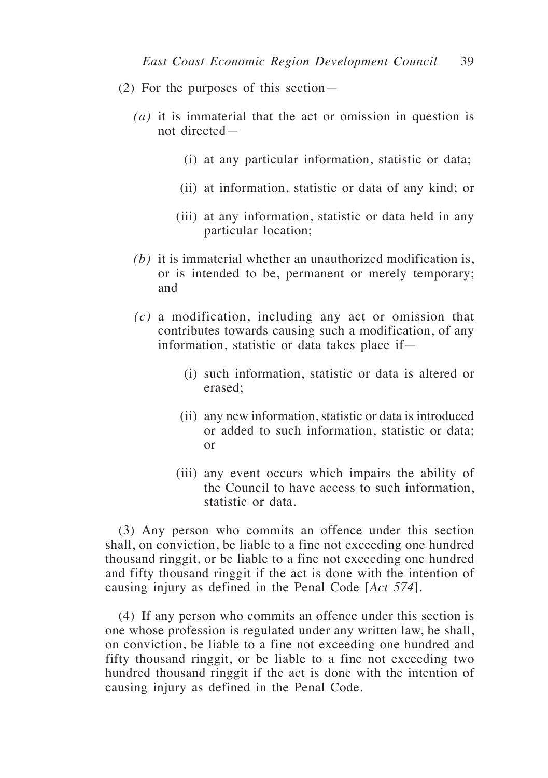- (2) For the purposes of this section—
	- *(a)* it is immaterial that the act or omission in question is not directed—
		- (i) at any particular information, statistic or data;
		- (ii) at information, statistic or data of any kind; or
		- (iii) at any information, statistic or data held in any particular location;
	- *(b)* it is immaterial whether an unauthorized modification is, or is intended to be, permanent or merely temporary; and
	- *(c)* a modification, including any act or omission that contributes towards causing such a modification, of any information, statistic or data takes place if—
		- (i) such information, statistic or data is altered or erased;
		- (ii) any new information, statistic or data is introduced or added to such information, statistic or data; or
		- (iii) any event occurs which impairs the ability of the Council to have access to such information, statistic or data.

(3) Any person who commits an offence under this section shall, on conviction, be liable to a fine not exceeding one hundred thousand ringgit, or be liable to a fine not exceeding one hundred and fifty thousand ringgit if the act is done with the intention of causing injury as defined in the Penal Code [*Act 574*].

(4) If any person who commits an offence under this section is one whose profession is regulated under any written law, he shall, on conviction, be liable to a fine not exceeding one hundred and fifty thousand ringgit, or be liable to a fine not exceeding two hundred thousand ringgit if the act is done with the intention of causing injury as defined in the Penal Code.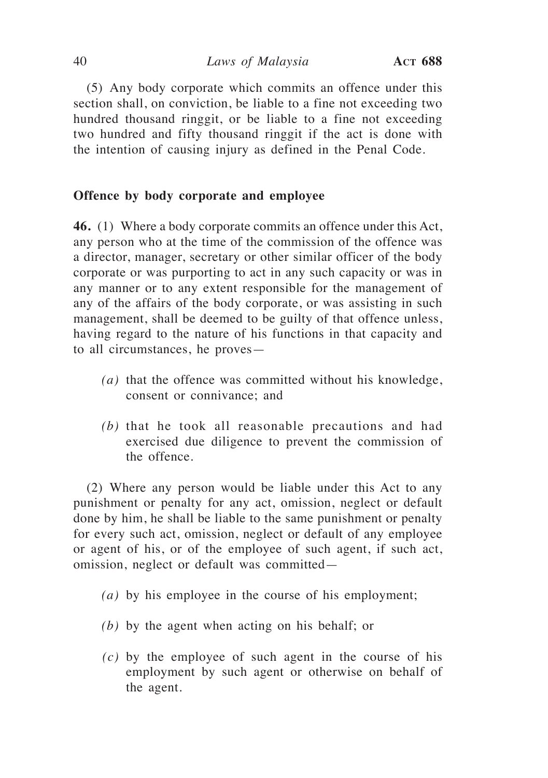(5) Any body corporate which commits an offence under this section shall, on conviction, be liable to a fine not exceeding two hundred thousand ringgit, or be liable to a fine not exceeding two hundred and fifty thousand ringgit if the act is done with the intention of causing injury as defined in the Penal Code.

# **Offence by body corporate and employee**

**46.** (1) Where a body corporate commits an offence under this Act, any person who at the time of the commission of the offence was a director, manager, secretary or other similar officer of the body corporate or was purporting to act in any such capacity or was in any manner or to any extent responsible for the management of any of the affairs of the body corporate, or was assisting in such management, shall be deemed to be guilty of that offence unless, having regard to the nature of his functions in that capacity and to all circumstances, he proves—

- *(a)* that the offence was committed without his knowledge, consent or connivance; and
- *(b)* that he took all reasonable precautions and had exercised due diligence to prevent the commission of the offence.

(2) Where any person would be liable under this Act to any punishment or penalty for any act, omission, neglect or default done by him, he shall be liable to the same punishment or penalty for every such act, omission, neglect or default of any employee or agent of his, or of the employee of such agent, if such act, omission, neglect or default was committed—

- *(a)* by his employee in the course of his employment;
- *(b)* by the agent when acting on his behalf; or
- *(c)* by the employee of such agent in the course of his employment by such agent or otherwise on behalf of the agent.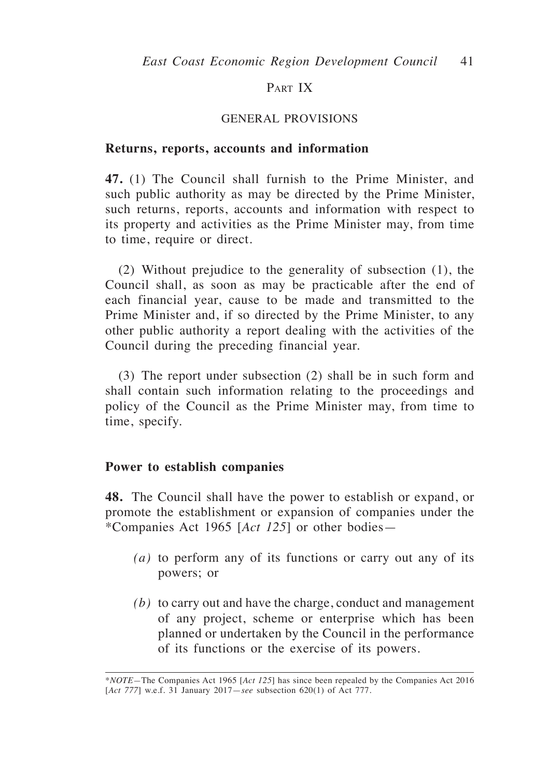# PART IX

## GENERAL PROVISIONS

#### **Returns, reports, accounts and information**

**47.** (1) The Council shall furnish to the Prime Minister, and such public authority as may be directed by the Prime Minister, such returns, reports, accounts and information with respect to its property and activities as the Prime Minister may, from time to time, require or direct.

(2) Without prejudice to the generality of subsection (1), the Council shall, as soon as may be practicable after the end of each financial year, cause to be made and transmitted to the Prime Minister and, if so directed by the Prime Minister, to any other public authority a report dealing with the activities of the Council during the preceding financial year.

(3) The report under subsection (2) shall be in such form and shall contain such information relating to the proceedings and policy of the Council as the Prime Minister may, from time to time, specify.

## **Power to establish companies**

**48.** The Council shall have the power to establish or expand, or promote the establishment or expansion of companies under the \*Companies Act 1965 [*Act 125*] or other bodies—

- *(a)* to perform any of its functions or carry out any of its powers; or
- *(b)* to carry out and have the charge, conduct and management of any project, scheme or enterprise which has been planned or undertaken by the Council in the performance of its functions or the exercise of its powers.

<sup>\*</sup>*NOTE—*The Companies Act 1965 [*Act 125*] has since been repealed by the Companies Act 2016 [*Act 777*] w.e.f. 31 January 2017—*see* subsection 620(1) of Act 777.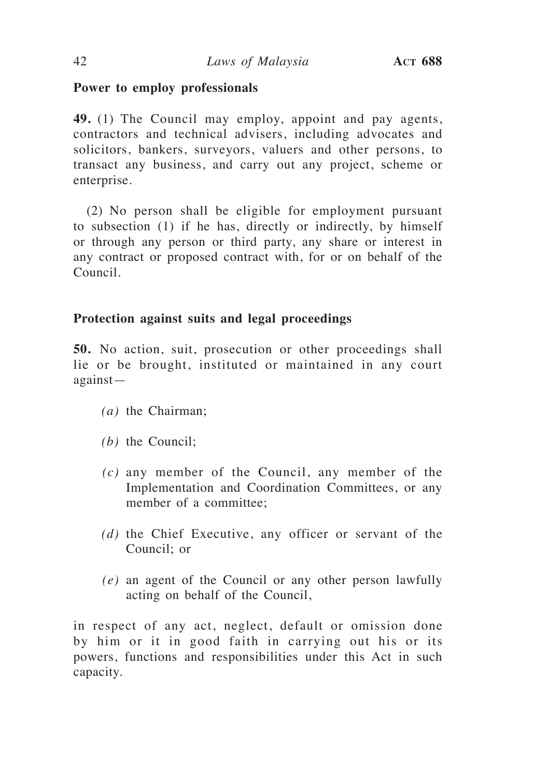# **Power to employ professionals**

**49.** (1) The Council may employ, appoint and pay agents, contractors and technical advisers, including advocates and solicitors, bankers, surveyors, valuers and other persons, to transact any business, and carry out any project, scheme or enterprise.

(2) No person shall be eligible for employment pursuant to subsection (1) if he has, directly or indirectly, by himself or through any person or third party, any share or interest in any contract or proposed contract with, for or on behalf of the Council.

# **Protection against suits and legal proceedings**

**50.** No action, suit, prosecution or other proceedings shall lie or be brought, instituted or maintained in any court against—

- *(a)* the Chairman;
- *(b)* the Council;
- *(c)* any member of the Council, any member of the Implementation and Coordination Committees, or any member of a committee;
- *(d)* the Chief Executive, any officer or servant of the Council; or
- *(e)* an agent of the Council or any other person lawfully acting on behalf of the Council,

in respect of any act, neglect, default or omission done by him or it in good faith in carrying out his or its powers, functions and responsibilities under this Act in such capacity.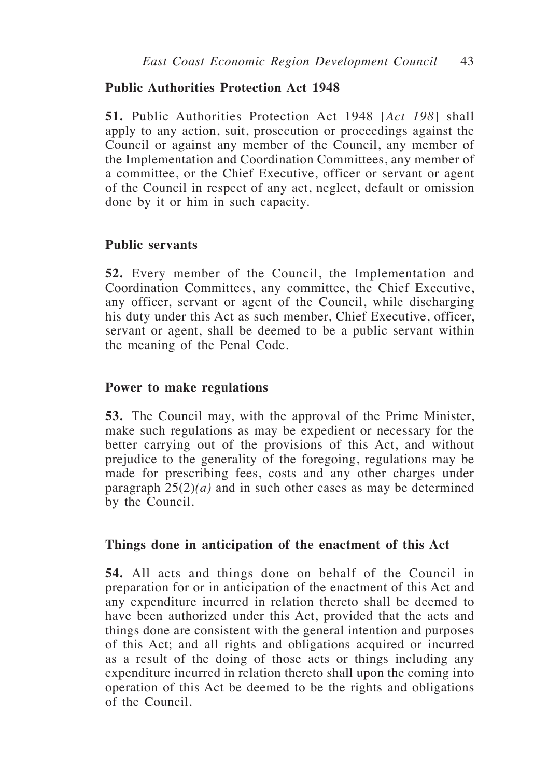# **Public Authorities Protection Act 1948**

**51.** Public Authorities Protection Act 1948 [*Act 198*] shall apply to any action, suit, prosecution or proceedings against the Council or against any member of the Council, any member of the Implementation and Coordination Committees, any member of a committee, or the Chief Executive, officer or servant or agent of the Council in respect of any act, neglect, default or omission done by it or him in such capacity.

## **Public servants**

**52.** Every member of the Council, the Implementation and Coordination Committees, any committee, the Chief Executive, any officer, servant or agent of the Council, while discharging his duty under this Act as such member, Chief Executive, officer, servant or agent, shall be deemed to be a public servant within the meaning of the Penal Code.

## **Power to make regulations**

**53.** The Council may, with the approval of the Prime Minister, make such regulations as may be expedient or necessary for the better carrying out of the provisions of this Act, and without prejudice to the generality of the foregoing, regulations may be made for prescribing fees, costs and any other charges under paragraph 25(2)*(a)* and in such other cases as may be determined by the Council.

## **Things done in anticipation of the enactment of this Act**

**54.** All acts and things done on behalf of the Council in preparation for or in anticipation of the enactment of this Act and any expenditure incurred in relation thereto shall be deemed to have been authorized under this Act, provided that the acts and things done are consistent with the general intention and purposes of this Act; and all rights and obligations acquired or incurred as a result of the doing of those acts or things including any expenditure incurred in relation thereto shall upon the coming into operation of this Act be deemed to be the rights and obligations of the Council.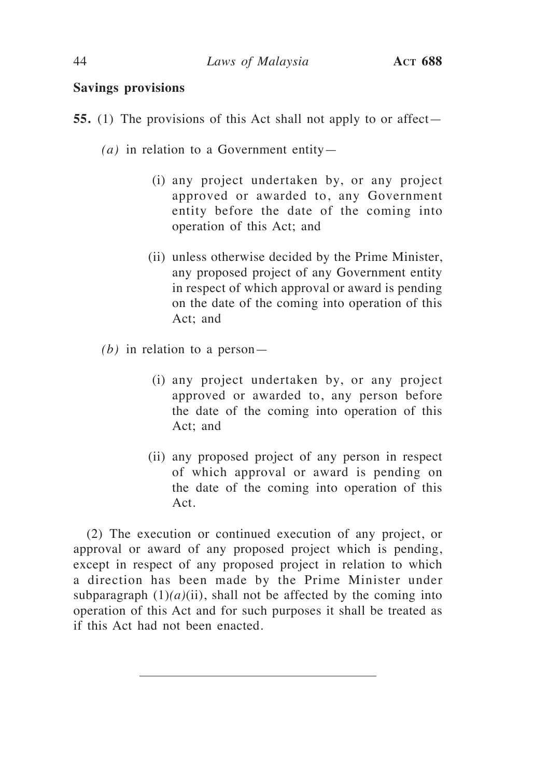# **Savings provisions**

- **55.** (1) The provisions of this Act shall not apply to or affect—
	- *(a)* in relation to a Government entity—
		- (i) any project undertaken by, or any project approved or awarded to, any Government entity before the date of the coming into operation of this Act; and
		- (ii) unless otherwise decided by the Prime Minister, any proposed project of any Government entity in respect of which approval or award is pending on the date of the coming into operation of this Act; and
	- *(b)* in relation to a person—
		- (i) any project undertaken by, or any project approved or awarded to, any person before the date of the coming into operation of this Act; and
		- (ii) any proposed project of any person in respect of which approval or award is pending on the date of the coming into operation of this Act.

(2) The execution or continued execution of any project, or approval or award of any proposed project which is pending, except in respect of any proposed project in relation to which a direction has been made by the Prime Minister under subparagraph  $(1)(a)(ii)$ , shall not be affected by the coming into operation of this Act and for such purposes it shall be treated as if this Act had not been enacted.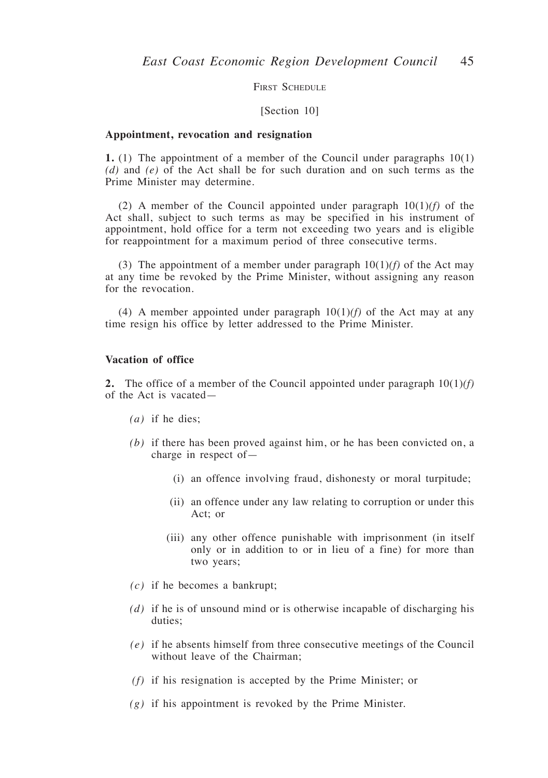FIRST SCHEDULE

#### [Section 10]

#### **Appointment, revocation and resignation**

**1.** (1) The appointment of a member of the Council under paragraphs 10(1) *(d)* and *(e)* of the Act shall be for such duration and on such terms as the Prime Minister may determine.

(2) A member of the Council appointed under paragraph 10(1)*(f)* of the Act shall, subject to such terms as may be specified in his instrument of appointment, hold office for a term not exceeding two years and is eligible for reappointment for a maximum period of three consecutive terms.

(3) The appointment of a member under paragraph  $10(1)(f)$  of the Act may at any time be revoked by the Prime Minister, without assigning any reason for the revocation.

(4) A member appointed under paragraph  $10(1)/f$  of the Act may at any time resign his office by letter addressed to the Prime Minister.

#### **Vacation of office**

**2.** The office of a member of the Council appointed under paragraph 10(1)*(f)*  of the Act is vacated—

- *(a)* if he dies;
- *(b)* if there has been proved against him, or he has been convicted on, a charge in respect of—
	- (i) an offence involving fraud, dishonesty or moral turpitude;
	- (ii) an offence under any law relating to corruption or under this Act; or
	- (iii) any other offence punishable with imprisonment (in itself only or in addition to or in lieu of a fine) for more than two years;
- *(c)* if he becomes a bankrupt;
- *(d)* if he is of unsound mind or is otherwise incapable of discharging his duties;
- *(e)* if he absents himself from three consecutive meetings of the Council without leave of the Chairman;
- *(f)* if his resignation is accepted by the Prime Minister; or
- *(g)* if his appointment is revoked by the Prime Minister.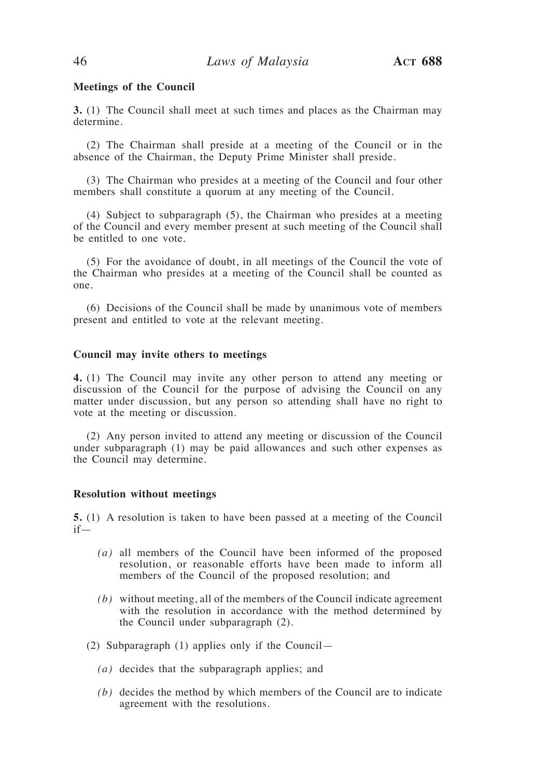#### **Meetings of the Council**

**3.** (1) The Council shall meet at such times and places as the Chairman may determine.

(2) The Chairman shall preside at a meeting of the Council or in the absence of the Chairman, the Deputy Prime Minister shall preside.

(3) The Chairman who presides at a meeting of the Council and four other members shall constitute a quorum at any meeting of the Council.

(4) Subject to subparagraph (5), the Chairman who presides at a meeting of the Council and every member present at such meeting of the Council shall be entitled to one vote.

(5) For the avoidance of doubt, in all meetings of the Council the vote of the Chairman who presides at a meeting of the Council shall be counted as one.

(6) Decisions of the Council shall be made by unanimous vote of members present and entitled to vote at the relevant meeting.

#### **Council may invite others to meetings**

**4.** (1) The Council may invite any other person to attend any meeting or discussion of the Council for the purpose of advising the Council on any matter under discussion, but any person so attending shall have no right to vote at the meeting or discussion.

(2) Any person invited to attend any meeting or discussion of the Council under subparagraph (1) may be paid allowances and such other expenses as the Council may determine.

#### **Resolution without meetings**

**5.** (1) A resolution is taken to have been passed at a meeting of the Council if—

- *(a)* all members of the Council have been informed of the proposed resolution, or reasonable efforts have been made to inform all members of the Council of the proposed resolution; and
- *(b)* without meeting, all of the members of the Council indicate agreement with the resolution in accordance with the method determined by the Council under subparagraph (2).
- (2) Subparagraph (1) applies only if the Council—
	- *(a)* decides that the subparagraph applies; and
	- *(b)* decides the method by which members of the Council are to indicate agreement with the resolutions.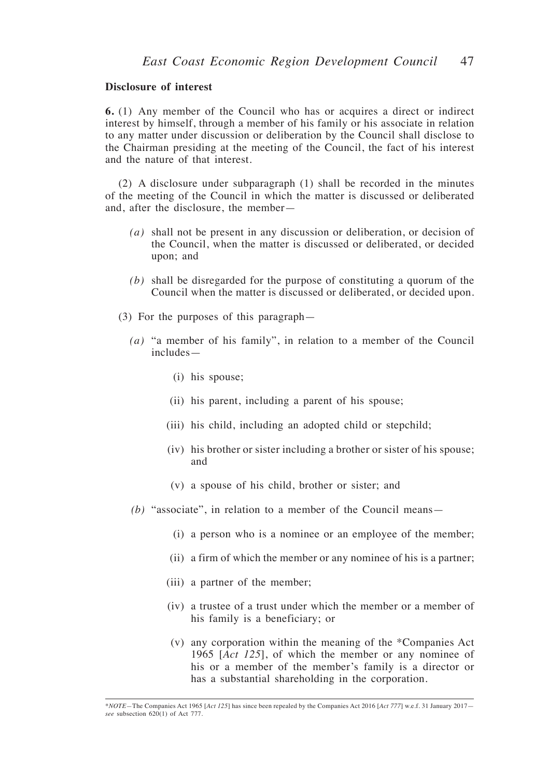#### **Disclosure of interest**

**6.** (1) Any member of the Council who has or acquires a direct or indirect interest by himself, through a member of his family or his associate in relation to any matter under discussion or deliberation by the Council shall disclose to the Chairman presiding at the meeting of the Council, the fact of his interest and the nature of that interest.

(2) A disclosure under subparagraph (1) shall be recorded in the minutes of the meeting of the Council in which the matter is discussed or deliberated and, after the disclosure, the member—

- *(a)* shall not be present in any discussion or deliberation, or decision of the Council, when the matter is discussed or deliberated, or decided upon; and
- *(b)* shall be disregarded for the purpose of constituting a quorum of the Council when the matter is discussed or deliberated, or decided upon.
- (3) For the purposes of this paragraph—
	- *(a)* "a member of his family", in relation to a member of the Council includes—
		- (i) his spouse;
		- (ii) his parent, including a parent of his spouse;
		- (iii) his child, including an adopted child or stepchild;
		- (iv) his brother or sister including a brother or sister of his spouse; and
		- (v) a spouse of his child, brother or sister; and
	- *(b)* "associate", in relation to a member of the Council means—
		- (i) a person who is a nominee or an employee of the member;
		- (ii) a firm of which the member or any nominee of his is a partner;
		- (iii) a partner of the member;
		- (iv) a trustee of a trust under which the member or a member of his family is a beneficiary; or
		- (v) any corporation within the meaning of the \*Companies Act 1965 [*Act 125*], of which the member or any nominee of his or a member of the member's family is a director or has a substantial shareholding in the corporation.

<sup>\*</sup>*NOTE—*The Companies Act 1965 [*Act 125*] has since been repealed by the Companies Act 2016 [*Act 777*] w.e.f. 31 January 2017 *see* subsection 620(1) of Act 777.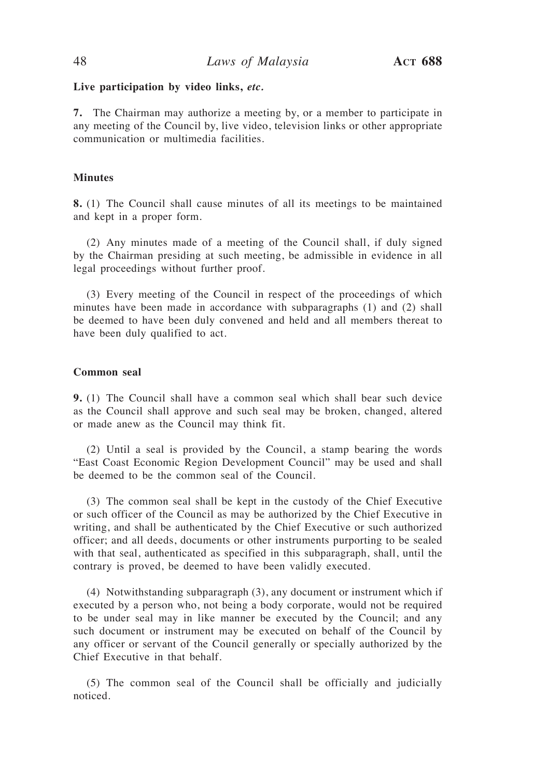#### **Live participation by video links,** *etc.*

**7.** The Chairman may authorize a meeting by, or a member to participate in any meeting of the Council by, live video, television links or other appropriate communication or multimedia facilities.

#### **Minutes**

**8.** (1) The Council shall cause minutes of all its meetings to be maintained and kept in a proper form.

(2) Any minutes made of a meeting of the Council shall, if duly signed by the Chairman presiding at such meeting, be admissible in evidence in all legal proceedings without further proof.

(3) Every meeting of the Council in respect of the proceedings of which minutes have been made in accordance with subparagraphs (1) and (2) shall be deemed to have been duly convened and held and all members thereat to have been duly qualified to act.

#### **Common seal**

**9.** (1) The Council shall have a common seal which shall bear such device as the Council shall approve and such seal may be broken, changed, altered or made anew as the Council may think fit.

(2) Until a seal is provided by the Council, a stamp bearing the words "East Coast Economic Region Development Council" may be used and shall be deemed to be the common seal of the Council.

(3) The common seal shall be kept in the custody of the Chief Executive or such officer of the Council as may be authorized by the Chief Executive in writing, and shall be authenticated by the Chief Executive or such authorized officer; and all deeds, documents or other instruments purporting to be sealed with that seal, authenticated as specified in this subparagraph, shall, until the contrary is proved, be deemed to have been validly executed.

(4) Notwithstanding subparagraph (3), any document or instrument which if executed by a person who, not being a body corporate, would not be required to be under seal may in like manner be executed by the Council; and any such document or instrument may be executed on behalf of the Council by any officer or servant of the Council generally or specially authorized by the Chief Executive in that behalf.

(5) The common seal of the Council shall be officially and judicially noticed.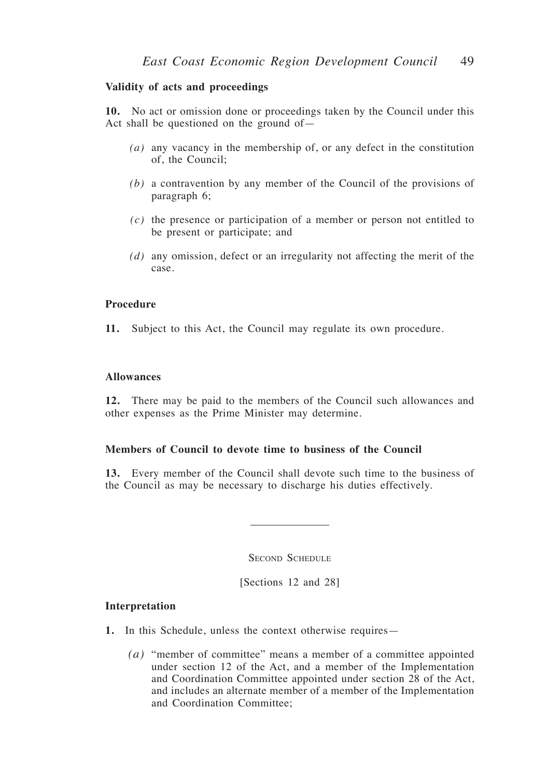#### **Validity of acts and proceedings**

**10.** No act or omission done or proceedings taken by the Council under this Act shall be questioned on the ground of—

- *(a)* any vacancy in the membership of, or any defect in the constitution of, the Council;
- *(b)* a contravention by any member of the Council of the provisions of paragraph 6;
- *(c)* the presence or participation of a member or person not entitled to be present or participate; and
- *(d)* any omission, defect or an irregularity not affecting the merit of the case.

#### **Procedure**

**11.** Subject to this Act, the Council may regulate its own procedure.

#### **Allowances**

**12.** There may be paid to the members of the Council such allowances and other expenses as the Prime Minister may determine.

#### **Members of Council to devote time to business of the Council**

**13.** Every member of the Council shall devote such time to the business of the Council as may be necessary to discharge his duties effectively.

SECOND SCHEDULE

[Sections 12 and 28]

#### **Interpretation**

- **1.** In this Schedule, unless the context otherwise requires—
	- *(a)* "member of committee" means a member of a committee appointed under section 12 of the Act, and a member of the Implementation and Coordination Committee appointed under section 28 of the Act, and includes an alternate member of a member of the Implementation and Coordination Committee;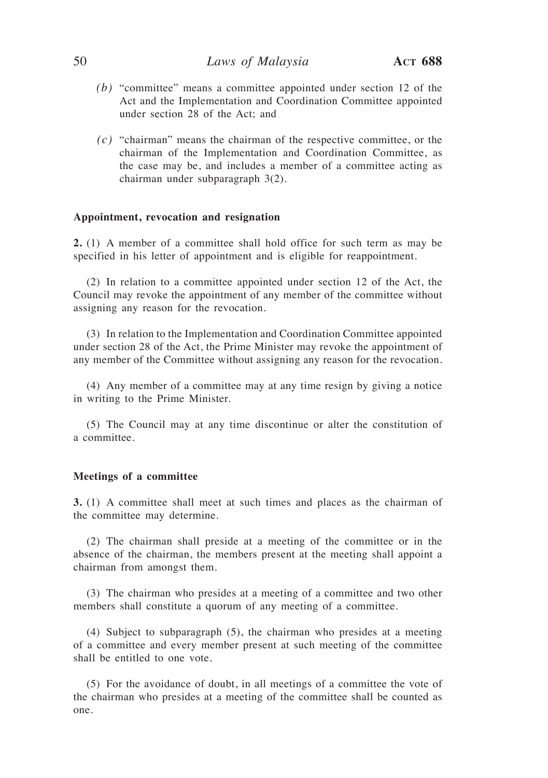- *(b)* "committee" means a committee appointed under section 12 of the Act and the Implementation and Coordination Committee appointed under section 28 of the Act; and
- *(c)* "chairman" means the chairman of the respective committee, or the chairman of the Implementation and Coordination Committee, as the case may be, and includes a member of a committee acting as chairman under subparagraph 3(2).

#### **Appointment, revocation and resignation**

**2.** (1) A member of a committee shall hold office for such term as may be specified in his letter of appointment and is eligible for reappointment.

(2) In relation to a committee appointed under section 12 of the Act, the Council may revoke the appointment of any member of the committee without assigning any reason for the revocation.

(3) In relation to the Implementation and Coordination Committee appointed under section 28 of the Act, the Prime Minister may revoke the appointment of any member of the Committee without assigning any reason for the revocation.

(4) Any member of a committee may at any time resign by giving a notice in writing to the Prime Minister.

(5) The Council may at any time discontinue or alter the constitution of a committee.

#### **Meetings of a committee**

**3.** (1) A committee shall meet at such times and places as the chairman of the committee may determine.

(2) The chairman shall preside at a meeting of the committee or in the absence of the chairman, the members present at the meeting shall appoint a chairman from amongst them.

(3) The chairman who presides at a meeting of a committee and two other members shall constitute a quorum of any meeting of a committee.

(4) Subject to subparagraph (5), the chairman who presides at a meeting of a committee and every member present at such meeting of the committee shall be entitled to one vote.

(5) For the avoidance of doubt, in all meetings of a committee the vote of the chairman who presides at a meeting of the committee shall be counted as one.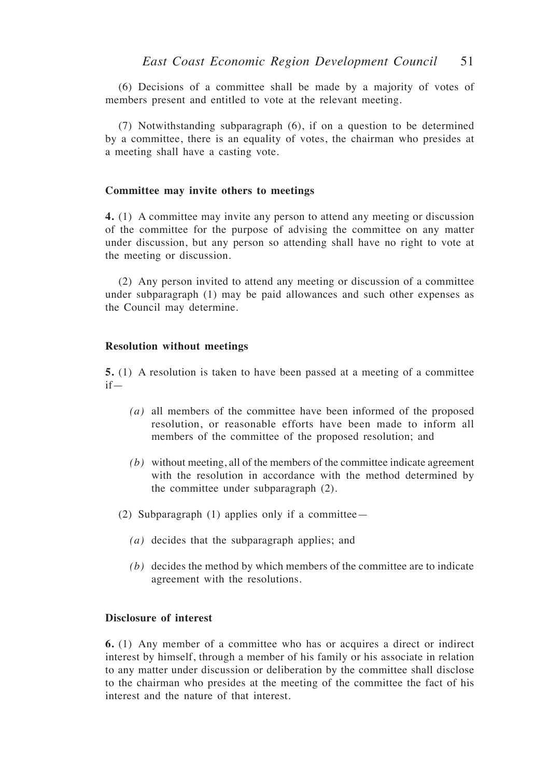(6) Decisions of a committee shall be made by a majority of votes of members present and entitled to vote at the relevant meeting.

(7) Notwithstanding subparagraph (6), if on a question to be determined by a committee, there is an equality of votes, the chairman who presides at a meeting shall have a casting vote.

#### **Committee may invite others to meetings**

**4.** (1) A committee may invite any person to attend any meeting or discussion of the committee for the purpose of advising the committee on any matter under discussion, but any person so attending shall have no right to vote at the meeting or discussion.

(2) Any person invited to attend any meeting or discussion of a committee under subparagraph (1) may be paid allowances and such other expenses as the Council may determine.

#### **Resolution without meetings**

**5.** (1) A resolution is taken to have been passed at a meeting of a committee if—

- *(a)* all members of the committee have been informed of the proposed resolution, or reasonable efforts have been made to inform all members of the committee of the proposed resolution; and
- *(b)* without meeting, all of the members of the committee indicate agreement with the resolution in accordance with the method determined by the committee under subparagraph (2).
- (2) Subparagraph (1) applies only if a committee—
	- *(a)* decides that the subparagraph applies; and
	- *(b)* decides the method by which members of the committee are to indicate agreement with the resolutions.

#### **Disclosure of interest**

**6.** (1) Any member of a committee who has or acquires a direct or indirect interest by himself, through a member of his family or his associate in relation to any matter under discussion or deliberation by the committee shall disclose to the chairman who presides at the meeting of the committee the fact of his interest and the nature of that interest.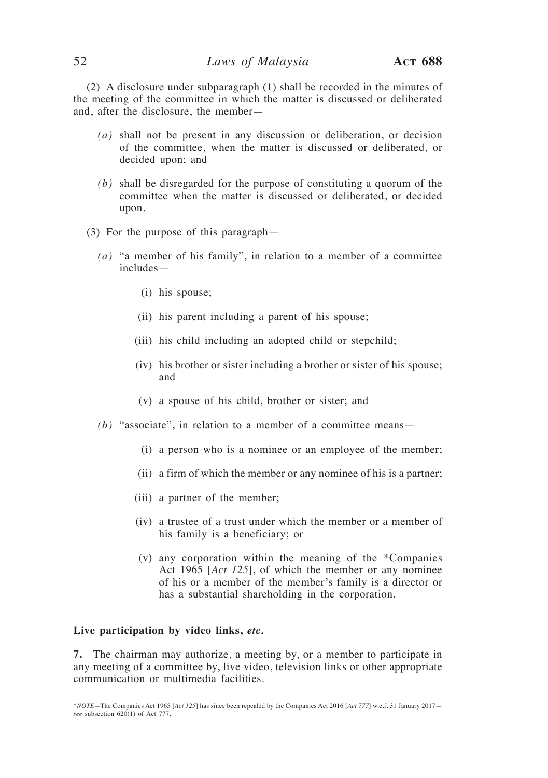(2) A disclosure under subparagraph (1) shall be recorded in the minutes of the meeting of the committee in which the matter is discussed or deliberated and, after the disclosure, the member—

- *(a)* shall not be present in any discussion or deliberation, or decision of the committee, when the matter is discussed or deliberated, or decided upon; and
- *(b)* shall be disregarded for the purpose of constituting a quorum of the committee when the matter is discussed or deliberated, or decided upon.
- (3) For the purpose of this paragraph—
	- *(a)* "a member of his family", in relation to a member of a committee includes—
		- (i) his spouse;
		- (ii) his parent including a parent of his spouse;
		- (iii) his child including an adopted child or stepchild;
		- (iv) his brother or sister including a brother or sister of his spouse; and
		- (v) a spouse of his child, brother or sister; and
	- *(b)* "associate", in relation to a member of a committee means—
		- (i) a person who is a nominee or an employee of the member;
		- (ii) a firm of which the member or any nominee of his is a partner;
		- (iii) a partner of the member;
		- (iv) a trustee of a trust under which the member or a member of his family is a beneficiary; or
		- (v) any corporation within the meaning of the \*Companies Act 1965 [*Act 125*], of which the member or any nominee of his or a member of the member's family is a director or has a substantial shareholding in the corporation.

#### **Live participation by video links,** *etc.*

**7.** The chairman may authorize, a meeting by, or a member to participate in any meeting of a committee by, live video, television links or other appropriate communication or multimedia facilities.

<sup>\*</sup>*NOTE—*The Companies Act 1965 [*Act 125*] has since been repealed by the Companies Act 2016 [*Act 777*] w.e.f. 31 January 2017 *see* subsection 620(1) of Act 777.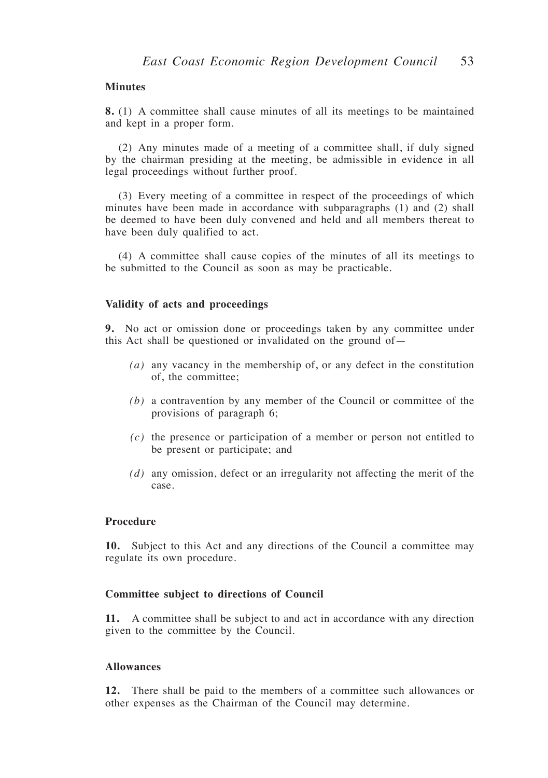#### **Minutes**

**8.** (1) A committee shall cause minutes of all its meetings to be maintained and kept in a proper form.

(2) Any minutes made of a meeting of a committee shall, if duly signed by the chairman presiding at the meeting, be admissible in evidence in all legal proceedings without further proof.

(3) Every meeting of a committee in respect of the proceedings of which minutes have been made in accordance with subparagraphs (1) and (2) shall be deemed to have been duly convened and held and all members thereat to have been duly qualified to act.

(4) A committee shall cause copies of the minutes of all its meetings to be submitted to the Council as soon as may be practicable.

#### **Validity of acts and proceedings**

**9.** No act or omission done or proceedings taken by any committee under this Act shall be questioned or invalidated on the ground of—

- *(a)* any vacancy in the membership of, or any defect in the constitution of, the committee;
- *(b)* a contravention by any member of the Council or committee of the provisions of paragraph 6;
- *(c)* the presence or participation of a member or person not entitled to be present or participate; and
- *(d)* any omission, defect or an irregularity not affecting the merit of the case.

#### **Procedure**

**10.** Subject to this Act and any directions of the Council a committee may regulate its own procedure.

#### **Committee subject to directions of Council**

**11.** A committee shall be subject to and act in accordance with any direction given to the committee by the Council.

#### **Allowances**

**12.** There shall be paid to the members of a committee such allowances or other expenses as the Chairman of the Council may determine.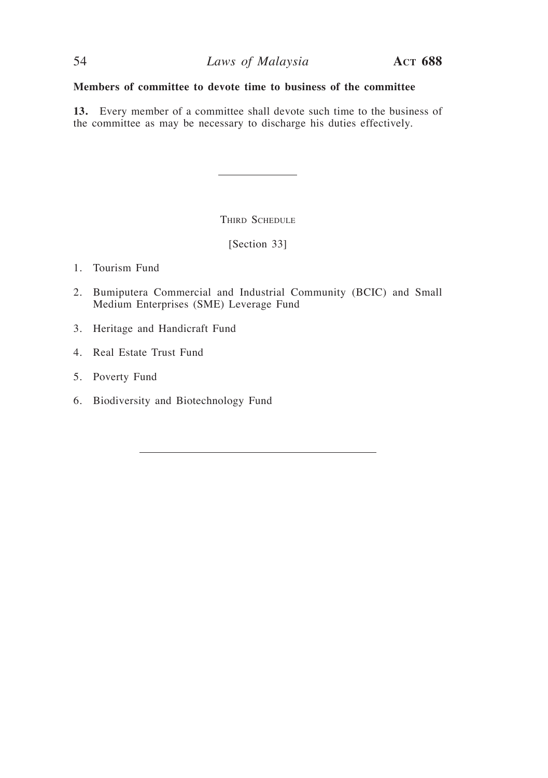## **Members of committee to devote time to business of the committee**

**13.** Every member of a committee shall devote such time to the business of the committee as may be necessary to discharge his duties effectively.

THIRD SCHEDULE

[Section 33]

1. Tourism Fund

- 2. Bumiputera Commercial and Industrial Community (BCIC) and Small Medium Enterprises (SME) Leverage Fund
- 3. Heritage and Handicraft Fund
- 4. Real Estate Trust Fund
- 5. Poverty Fund
- 6. Biodiversity and Biotechnology Fund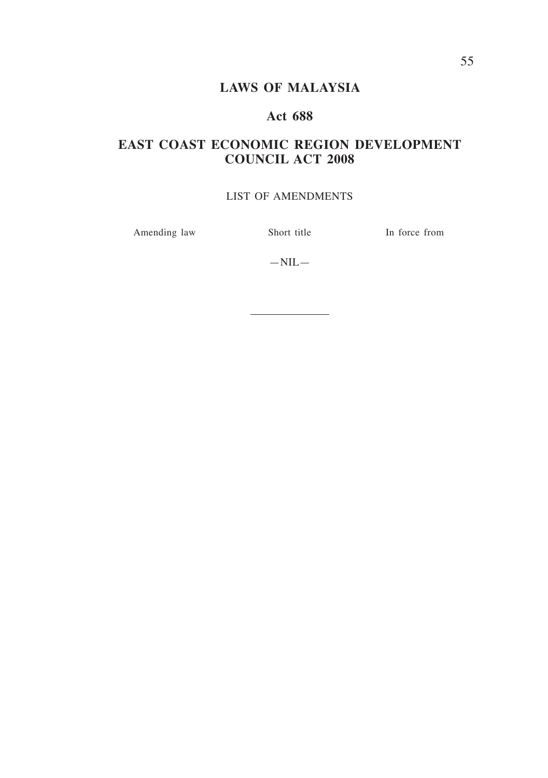# **LAWS OF MALAYSIA**

# **Act 688**

# **EAST COAST ECONOMIC REGION DEVELOPMENT COUNCIL ACT 2008**

## LIST OF AMENDMENTS

Amending law Short title In force from

 $-NIL-$